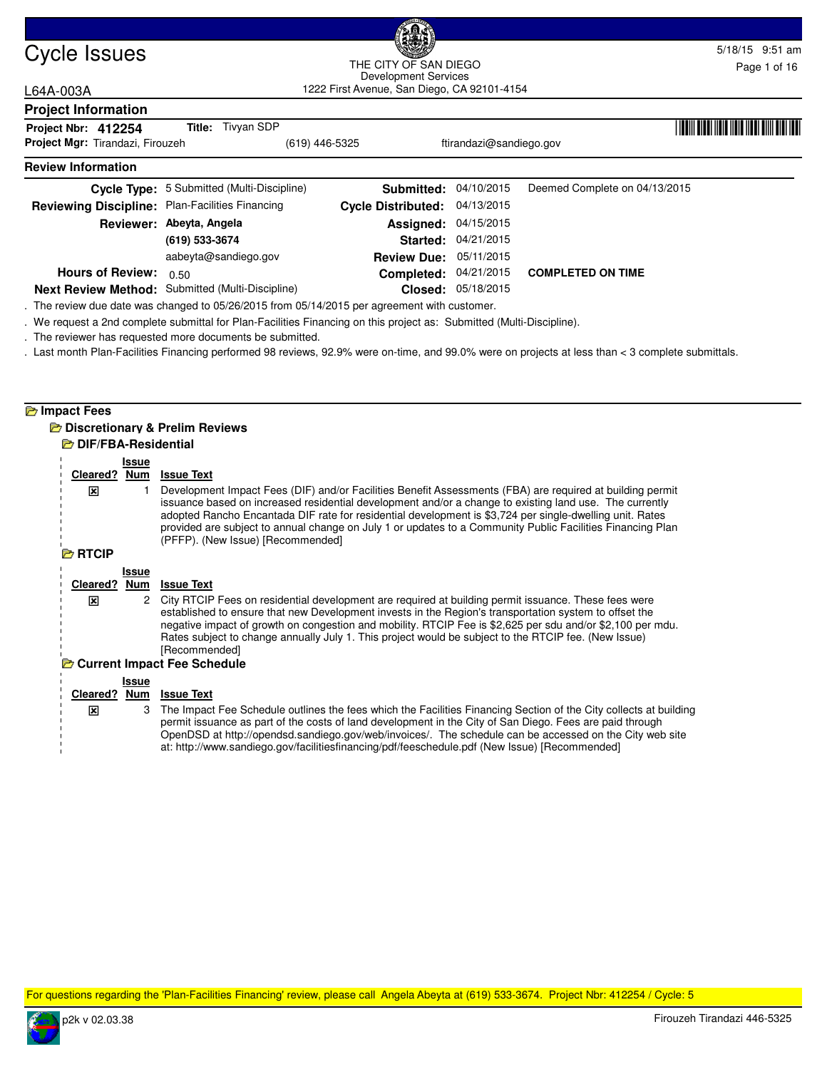| Cycle Issues                                    | (Real                    |                                            |                                                                     |                         |                               | 5/18/15 9:51 am |  |
|-------------------------------------------------|--------------------------|--------------------------------------------|---------------------------------------------------------------------|-------------------------|-------------------------------|-----------------|--|
|                                                 |                          |                                            | THE CITY OF SAN DIEGO                                               |                         |                               | Page 1 of 16    |  |
| L64A-003A                                       |                          |                                            | Development Services<br>1222 First Avenue, San Diego, CA 92101-4154 |                         |                               |                 |  |
| <b>Project Information</b>                      |                          |                                            |                                                                     |                         |                               |                 |  |
| Project Nbr: 412254                             |                          | <b>Title:</b> Tivyan SDP                   |                                                                     |                         |                               |                 |  |
| Project Mgr: Tirandazi, Firouzeh                |                          | (619) 446-5325                             |                                                                     | ftirandazi@sandiego.gov |                               |                 |  |
| <b>Review Information</b>                       |                          |                                            |                                                                     |                         |                               |                 |  |
|                                                 |                          | Cycle Type: 5 Submitted (Multi-Discipline) | Submitted:                                                          | 04/10/2015              | Deemed Complete on 04/13/2015 |                 |  |
| Reviewing Discipline: Plan-Facilities Financing |                          |                                            | <b>Cycle Distributed:</b>                                           | 04/13/2015              |                               |                 |  |
|                                                 | Reviewer: Abeyta, Angela |                                            | Assigned:                                                           | 04/15/2015              |                               |                 |  |
|                                                 | (619) 533-3674           |                                            | Started:                                                            | 04/21/2015              |                               |                 |  |

**Closed:** 05/18/2015 **Next Review Method:** Submitted (Multi-Discipline)

aabeyta@sandiego.gov

. The review due date was changed to 05/26/2015 from 05/14/2015 per agreement with customer.

. We request a 2nd complete submittal for Plan-Facilities Financing on this project as: Submitted (Multi-Discipline).

. The reviewer has requested more documents be submitted.

. Last month Plan-Facilities Financing performed 98 reviews, 92.9% were on-time, and 99.0% were on projects at less than < 3 complete submittals.

## **Impact Fees**

### **Discretionary & Prelim Reviews DIF/FBA-Residential**

**Hours of Review:** 0.50

|                | Issue      |                                                                                                                                                                                                                                                                                                                                                                                                                                                                                     |
|----------------|------------|-------------------------------------------------------------------------------------------------------------------------------------------------------------------------------------------------------------------------------------------------------------------------------------------------------------------------------------------------------------------------------------------------------------------------------------------------------------------------------------|
| Cleared?       | <u>Num</u> | <b>Issue Text</b>                                                                                                                                                                                                                                                                                                                                                                                                                                                                   |
| x              |            | Development Impact Fees (DIF) and/or Facilities Benefit Assessments (FBA) are required at building permit<br>issuance based on increased residential development and/or a change to existing land use. The currently<br>adopted Rancho Encantada DIF rate for residential development is \$3,724 per single-dwelling unit. Rates<br>provided are subject to annual change on July 1 or updates to a Community Public Facilities Financing Plan<br>(PFFP). (New Issue) [Recommended] |
| <b>B</b> RTCIP |            |                                                                                                                                                                                                                                                                                                                                                                                                                                                                                     |
|                | Issue      |                                                                                                                                                                                                                                                                                                                                                                                                                                                                                     |
| Cleared?       | Num        | <b>Issue Text</b>                                                                                                                                                                                                                                                                                                                                                                                                                                                                   |
| ⊠              | 2          | City RTCIP Fees on residential development are required at building permit issuance. These fees were<br>established to ensure that new Development invests in the Region's transportation system to offset the<br>negative impact of growth on congestion and mobility. RTCIP Fee is \$2,625 per sdu and/or \$2,100 per mdu.<br>Rates subject to change annually July 1. This project would be subject to the RTCIP fee. (New Issue)<br>[Recommended]                               |
|                |            | <b>E</b> Current Impact Fee Schedule                                                                                                                                                                                                                                                                                                                                                                                                                                                |
|                | Issue      |                                                                                                                                                                                                                                                                                                                                                                                                                                                                                     |
| Cleared?       | Num        | <b>Issue Text</b>                                                                                                                                                                                                                                                                                                                                                                                                                                                                   |
| ⊠              | 3          | The Impact Fee Schedule outlines the fees which the Facilities Financing Section of the City collects at building<br>permit issuance as part of the costs of land development in the City of San Diego. Fees are paid through<br>OpenDSD at http://opendsd.sandiego.gov/web/invoices/. The schedule can be accessed on the City web site<br>at: http://www.sandiego.gov/facilitiesfinancing/pdf/feeschedule.pdf (New Issue) [Recommended]                                           |

For questions regarding the 'Plan-Facilities Financing' review, please call Angela Abeyta at (619) 533-3674. Project Nbr: 412254 / Cycle: 5



04/21/2015 **Completed:**

**COMPLETED ON TIME**

**Review Due:** 05/11/2015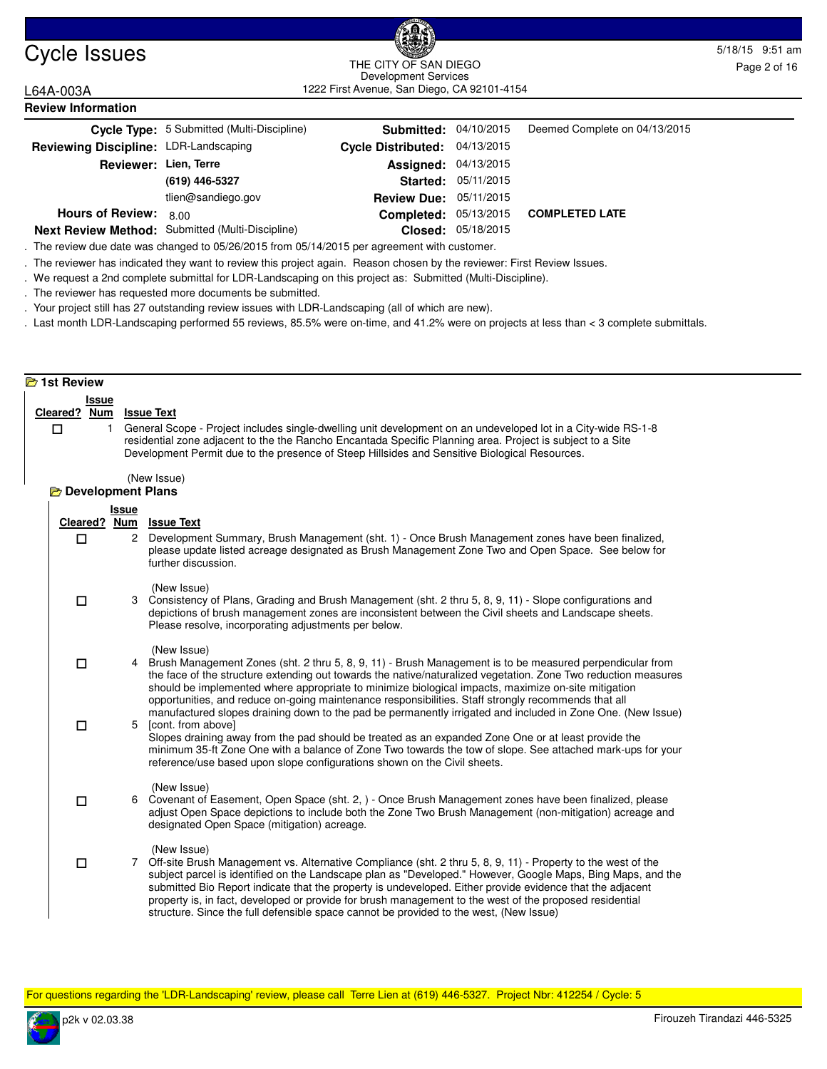

**Review Information**

#### Cycle Issues 5/18/15 9:51 am 1222 First Avenue, San Diego, CA 92101-4154 THE CITY OF SAN DIEGO Development Services

L64A-003A

|                                       | Cycle Type: 5 Submitted (Multi-Discipline)       | <b>Submitted: 04/10/2015</b>  |                            | Deemed Complete on 04/13/2015 |
|---------------------------------------|--------------------------------------------------|-------------------------------|----------------------------|-------------------------------|
| Reviewing Discipline: LDR-Landscaping |                                                  | Cycle Distributed: 04/13/2015 |                            |                               |
| Reviewer: Lien, Terre                 |                                                  | <b>Assigned: 04/13/2015</b>   |                            |                               |
|                                       | (619) 446-5327                                   |                               | <b>Started: 05/11/2015</b> |                               |
|                                       | tlien@sandiego.gov                               | <b>Review Due: 05/11/2015</b> |                            |                               |
| <b>Hours of Review:</b>               | 8.00                                             | <b>Completed: 05/13/2015</b>  |                            | <b>COMPLETED LATE</b>         |
|                                       | Next Review Method: Submitted (Multi-Discipline) |                               | Closed: 05/18/2015         |                               |

**Next Review Method:** Submitted (Multi-Discipline)

. The review due date was changed to 05/26/2015 from 05/14/2015 per agreement with customer.

. The reviewer has indicated they want to review this project again. Reason chosen by the reviewer: First Review Issues.

. We request a 2nd complete submittal for LDR-Landscaping on this project as: Submitted (Multi-Discipline).

. The reviewer has requested more documents be submitted.

. Your project still has 27 outstanding review issues with LDR-Landscaping (all of which are new).

. Last month LDR-Landscaping performed 55 reviews, 85.5% were on-time, and 41.2% were on projects at less than < 3 complete submittals.

#### **1st Review Issue Cleared ? Num Issue Text** 1 General Scope - Project includes single-dwelling unit development on an undeveloped lot in a City-wide RS-1-8 residential zone adjacent to the the Rancho Encantada Specific Planning area. Project is subject to a Site Development Permit due to the presence of Steep Hillsides and Sensitive Biological Resources. (New Issue)  $\Box$ **Development Plans Issue Cleared ? Num Issue Text** 2 Development Summary, Brush Management (sht. 1) - Once Brush Management zones have been finalized, please update listed acreage designated as Brush Management Zone Two and Open Space. See below for further discussion. (New Issue)  $\Box$ 3 Consistency of Plans, Grading and Brush Management (sht. 2 thru 5, 8, 9, 11) - Slope configurations and depictions of brush management zones are inconsistent between the Civil sheets and Landscape sheets. Please resolve, incorporating adjustments per below. (New Issue)  $\Box$ 4 Brush Management Zones (sht. 2 thru 5, 8, 9, 11) - Brush Management is to be measured perpendicular from the face of the structure extending out towards the native/naturalized vegetation. Zone Two reduction measures should be implemented where appropriate to minimize biological impacts, maximize on-site mitigation opportunities, and reduce on-going maintenance responsibilities. Staff strongly recommends that all manufactured slopes draining down to the pad be permanently irrigated and included in Zone One. (New Issue)  $\Box$ 5 [cont. from above] Slopes draining away from the pad should be treated as an expanded Zone One or at least provide the minimum 35-ft Zone One with a balance of Zone Two towards the tow of slope. See attached mark-ups for your reference/use based upon slope configurations shown on the Civil sheets. (New Issue)  $\Box$ 6 Covenant of Easement, Open Space (sht. 2, ) - Once Brush Management zones have been finalized, please adjust Open Space depictions to include both the Zone Two Brush Management (non-mitigation) acreage and designated Open Space (mitigation) acreage. (New Issue)  $\Box$ 7 Off-site Brush Management vs. Alternative Compliance (sht. 2 thru 5, 8, 9, 11) - Property to the west of the subject parcel is identified on the Landscape plan as "Developed." However, Google Maps, Bing Maps, and the submitted Bio Report indicate that the property is undeveloped. Either provide evidence that the adjacent property is, in fact, developed or provide for brush management to the west of the proposed residential structure. Since the full defensible space cannot be provided to the west, (New Issue)  $\Box$

For questions regarding the 'LDR-Landscaping' review, please call Terre Lien at (619) 446-5327. Project Nbr: 412254 / Cycle: 5

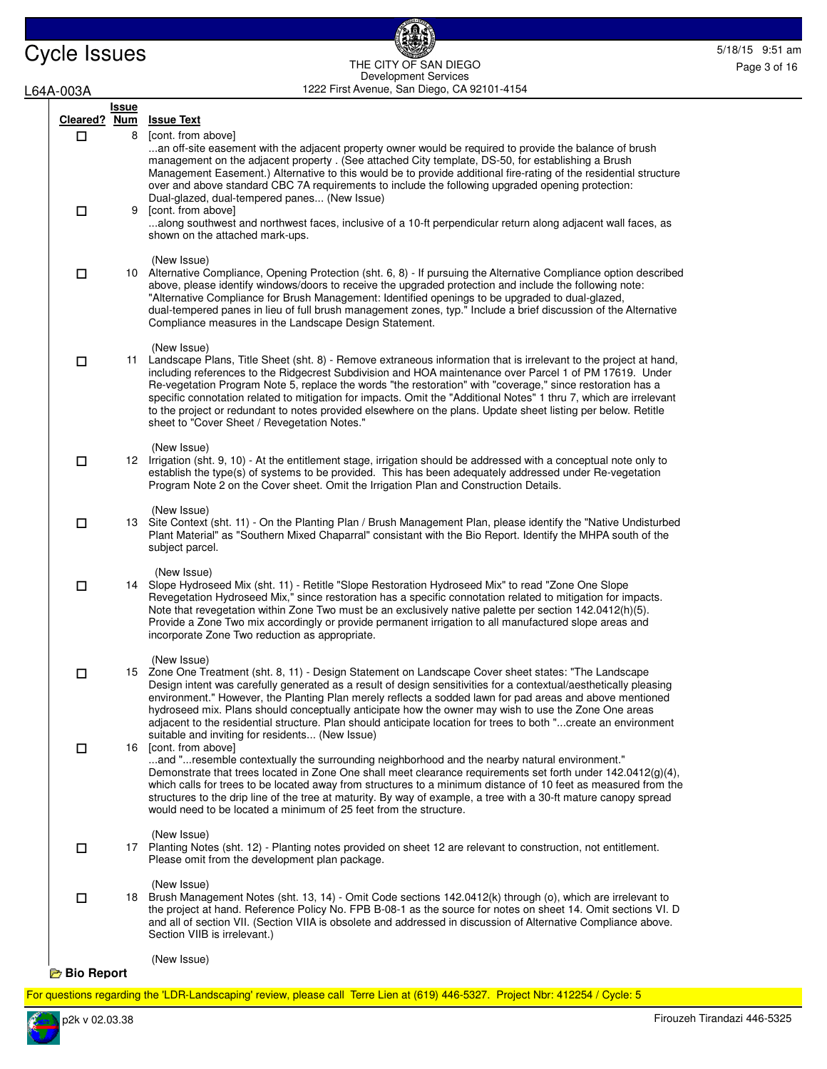Cycle Issues 5/18/15 9:51 am THE CITY OF SAN DIEGO 5/18/15 9:51 am THE CITY OF SAN DIEGO 1222 First Avenue, San Diego, CA 92101-4154 THE CITY OF SAN DIEGO Development Services

6

Page 3 of 16

| L64A-003A |                   |                   | 1222 First Avenue, San Diego, CA 92101-4154                                                                                                                                                                                                                                                                                                                                                                                                                                                                                                                                                                                                                      |
|-----------|-------------------|-------------------|------------------------------------------------------------------------------------------------------------------------------------------------------------------------------------------------------------------------------------------------------------------------------------------------------------------------------------------------------------------------------------------------------------------------------------------------------------------------------------------------------------------------------------------------------------------------------------------------------------------------------------------------------------------|
|           | Cleared? Num<br>□ | <u>Issue</u><br>8 | <b>Issue Text</b><br>[cont. from above]                                                                                                                                                                                                                                                                                                                                                                                                                                                                                                                                                                                                                          |
|           | □                 | 9                 | an off-site easement with the adjacent property owner would be required to provide the balance of brush<br>management on the adjacent property . (See attached City template, DS-50, for establishing a Brush<br>Management Easement.) Alternative to this would be to provide additional fire-rating of the residential structure<br>over and above standard CBC 7A requirements to include the following upgraded opening protection:<br>Dual-glazed, dual-tempered panes (New Issue)<br>[cont. from above]<br>along southwest and northwest faces, inclusive of a 10-ft perpendicular return along adjacent wall faces, as<br>shown on the attached mark-ups. |
|           | $\Box$            |                   | (New Issue)<br>10 Alternative Compliance, Opening Protection (sht. 6, 8) - If pursuing the Alternative Compliance option described<br>above, please identify windows/doors to receive the upgraded protection and include the following note:<br>"Alternative Compliance for Brush Management: Identified openings to be upgraded to dual-glazed,<br>dual-tempered panes in lieu of full brush management zones, typ." Include a brief discussion of the Alternative<br>Compliance measures in the Landscape Design Statement.                                                                                                                                   |
|           | $\Box$            |                   | (New Issue)<br>11 Landscape Plans, Title Sheet (sht. 8) - Remove extraneous information that is irrelevant to the project at hand,<br>including references to the Ridgecrest Subdivision and HOA maintenance over Parcel 1 of PM 17619. Under<br>Re-vegetation Program Note 5, replace the words "the restoration" with "coverage," since restoration has a<br>specific connotation related to mitigation for impacts. Omit the "Additional Notes" 1 thru 7, which are irrelevant<br>to the project or redundant to notes provided elsewhere on the plans. Update sheet listing per below. Retitle<br>sheet to "Cover Sheet / Revegetation Notes."               |
|           | □                 |                   | (New Issue)<br>12 Irrigation (sht. 9, 10) - At the entitlement stage, irrigation should be addressed with a conceptual note only to<br>establish the type(s) of systems to be provided. This has been adequately addressed under Re-vegetation<br>Program Note 2 on the Cover sheet. Omit the Irrigation Plan and Construction Details.                                                                                                                                                                                                                                                                                                                          |
|           | $\Box$            |                   | (New Issue)<br>13 Site Context (sht. 11) - On the Planting Plan / Brush Management Plan, please identify the "Native Undisturbed<br>Plant Material" as "Southern Mixed Chaparral" consistant with the Bio Report. Identify the MHPA south of the<br>subject parcel.                                                                                                                                                                                                                                                                                                                                                                                              |
|           | 口                 |                   | (New Issue)<br>14 Slope Hydroseed Mix (sht. 11) - Retitle "Slope Restoration Hydroseed Mix" to read "Zone One Slope<br>Revegetation Hydroseed Mix," since restoration has a specific connotation related to mitigation for impacts.<br>Note that revegetation within Zone Two must be an exclusively native palette per section 142.0412(h)(5).<br>Provide a Zone Two mix accordingly or provide permanent irrigation to all manufactured slope areas and<br>incorporate Zone Two reduction as appropriate.                                                                                                                                                      |
|           | □                 |                   | (New Issue)<br>15 Zone One Treatment (sht. 8, 11) - Design Statement on Landscape Cover sheet states: "The Landscape<br>Design intent was carefully generated as a result of design sensitivities for a contextual/aesthetically pleasing<br>environment." However, the Planting Plan merely reflects a sodded lawn for pad areas and above mentioned<br>hydroseed mix. Plans should conceptually anticipate how the owner may wish to use the Zone One areas<br>adjacent to the residential structure. Plan should anticipate location for trees to both "create an environment<br>suitable and inviting for residents (New Issue)                              |
|           | $\Box$            | 16                | [cont. from above]<br>and "resemble contextually the surrounding neighborhood and the nearby natural environment."<br>Demonstrate that trees located in Zone One shall meet clearance requirements set forth under 142.0412(g)(4),<br>which calls for trees to be located away from structures to a minimum distance of 10 feet as measured from the<br>structures to the drip line of the tree at maturity. By way of example, a tree with a 30-ft mature canopy spread<br>would need to be located a minimum of 25 feet from the structure.                                                                                                                    |
|           | □                 |                   | (New Issue)<br>17 Planting Notes (sht. 12) - Planting notes provided on sheet 12 are relevant to construction, not entitlement.<br>Please omit from the development plan package.                                                                                                                                                                                                                                                                                                                                                                                                                                                                                |
|           | □                 |                   | (New Issue)<br>18 Brush Management Notes (sht. 13, 14) - Omit Code sections 142.0412(k) through (o), which are irrelevant to<br>the project at hand. Reference Policy No. FPB B-08-1 as the source for notes on sheet 14. Omit sections VI. D<br>and all of section VII. (Section VIIA is obsolete and addressed in discussion of Alternative Compliance above.<br>Section VIIB is irrelevant.)                                                                                                                                                                                                                                                                  |
|           | <b>Bio Report</b> |                   | (New Issue)                                                                                                                                                                                                                                                                                                                                                                                                                                                                                                                                                                                                                                                      |

For questions regarding the 'LDR-Landscaping' review, please call Terre Lien at (619) 446-5327. Project Nbr: 412254 / Cycle: 5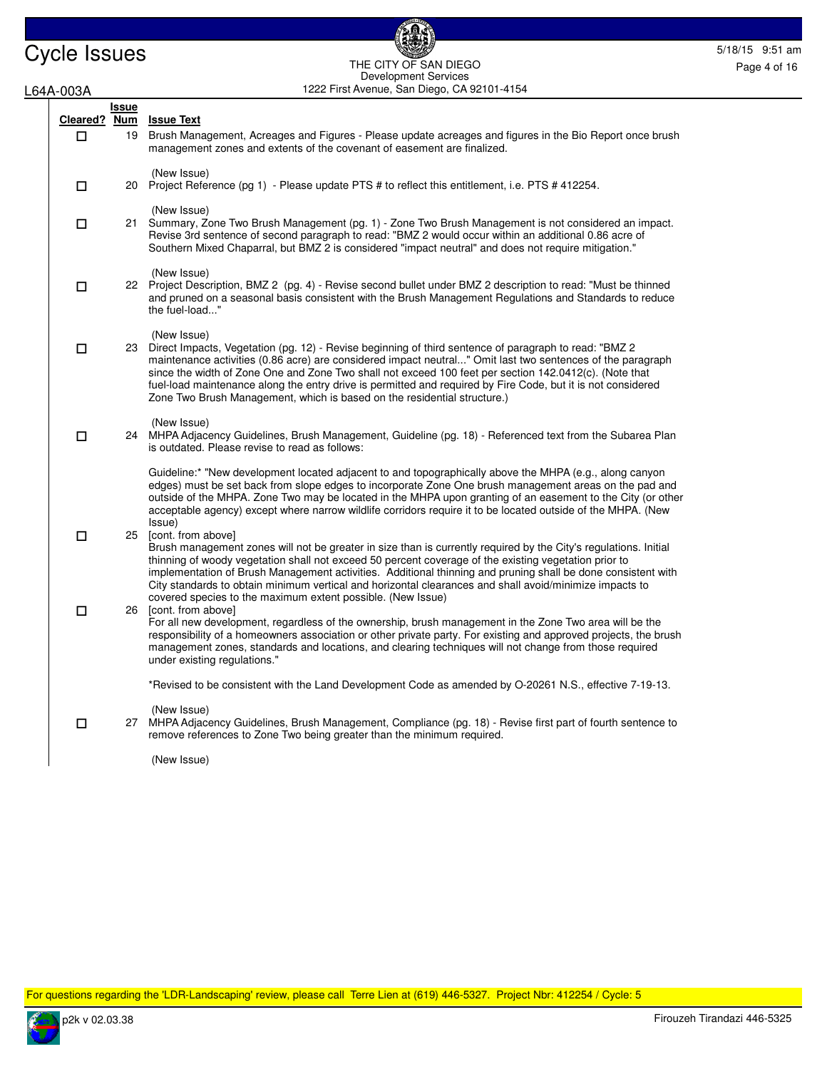**Issue** 

L64A-003A

### Cycle Issues 5/18/15 9:51 am 1222 First Avenue, San Diego, CA 92101-4154 THE CITY OF SAN DIEGO Development Services

**Cleared ? Num Issue Text** 19 Brush Management, Acreages and Figures - Please update acreages and figures in the Bio Report once brush management zones and extents of the covenant of easement are finalized. (New Issue)  $\Box$ 20 Project Reference (pg 1) - Please update PTS # to reflect this entitlement, i.e. PTS # 412254. (New Issue)  $\Box$ 21 Summary, Zone Two Brush Management (pg. 1) - Zone Two Brush Management is not considered an impact. Revise 3rd sentence of second paragraph to read: "BMZ 2 would occur within an additional 0.86 acre of Southern Mixed Chaparral, but BMZ 2 is considered "impact neutral" and does not require mitigation." (New Issue)  $\Box$ 22 Project Description, BMZ 2 (pg. 4) - Revise second bullet under BMZ 2 description to read: "Must be thinned and pruned on a seasonal basis consistent with the Brush Management Regulations and Standards to reduce the fuel-load..." (New Issue)  $\Box$ 23 Direct Impacts, Vegetation (pg. 12) - Revise beginning of third sentence of paragraph to read: "BMZ 2 maintenance activities (0.86 acre) are considered impact neutral..." Omit last two sentences of the paragraph since the width of Zone One and Zone Two shall not exceed 100 feet per section 142.0412(c). (Note that fuel-load maintenance along the entry drive is permitted and required by Fire Code, but it is not considered Zone Two Brush Management, which is based on the residential structure.) (New Issue)  $\Box$ 24 MHPA Adjacency Guidelines, Brush Management, Guideline (pg. 18) - Referenced text from the Subarea Plan is outdated. Please revise to read as follows: Guideline:\* "New development located adjacent to and topographically above the MHPA (e.g., along canyon edges) must be set back from slope edges to incorporate Zone One brush management areas on the pad and outside of the MHPA. Zone Two may be located in the MHPA upon granting of an easement to the City (or other acceptable agency) except where narrow wildlife corridors require it to be located outside of the MHPA. (New Issue)  $\Box$ 25 [cont. from above] Brush management zones will not be greater in size than is currently required by the City's regulations. Initial thinning of woody vegetation shall not exceed 50 percent coverage of the existing vegetation prior to implementation of Brush Management activities. Additional thinning and pruning shall be done consistent with City standards to obtain minimum vertical and horizontal clearances and shall avoid/minimize impacts to covered species to the maximum extent possible. (New Issue)  $\Box$ [cont. from above] For all new development, regardless of the ownership, brush management in the Zone Two area will be the responsibility of a homeowners association or other private party. For existing and approved projects, the brush management zones, standards and locations, and clearing techniques will not change from those required under existing regulations." \*Revised to be consistent with the Land Development Code as amended by O-20261 N.S., effective 7-19-13. (New Issue)  $\Box$ 27 MHPA Adjacency Guidelines, Brush Management, Compliance (pg. 18) - Revise first part of fourth sentence to remove references to Zone Two being greater than the minimum required.  $\Box$ 

(New Issue)

For questions regarding the 'LDR-Landscaping' review, please call Terre Lien at (619) 446-5327. Project Nbr: 412254 / Cycle: 5

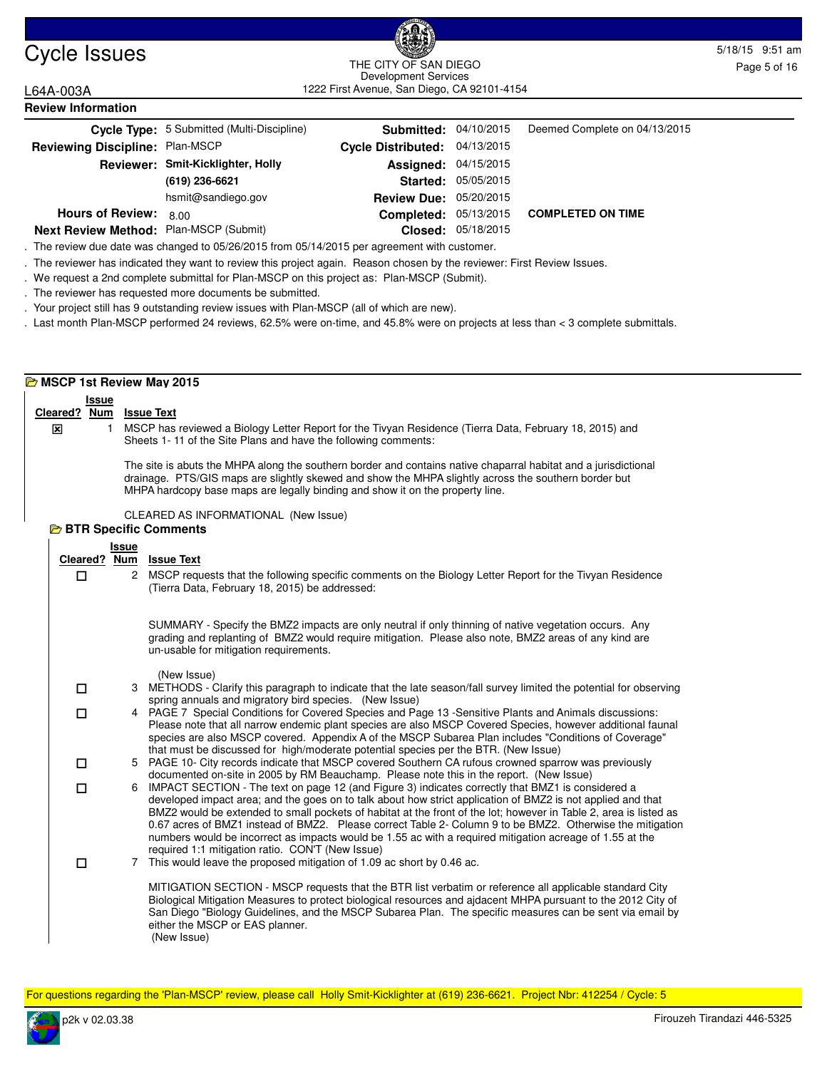### Cycle Issues 5/18/15 9:51 am and the curve sample control of the curve of the curve of the curve of the curve of the curve of the curve of the curve of the curve of the curve of the curve of the curve of the curve of the c 1222 First Avenue, San Diego, CA 92101-4154 THE CITY OF SAN DIEGO Development Services

L64A-003A **Review Information**

|                                        | Cycle Type: 5 Submitted (Multi-Discipline) | <b>Submitted: 04/10/2015</b>  |                     | Deemed Complete on 04/13/2015 |
|----------------------------------------|--------------------------------------------|-------------------------------|---------------------|-------------------------------|
| Reviewing Discipline: Plan-MSCP        |                                            | Cycle Distributed: 04/13/2015 |                     |                               |
|                                        | Reviewer: Smit-Kicklighter, Holly          | <b>Assigned: 04/15/2015</b>   |                     |                               |
|                                        | (619) 236-6621                             |                               | Started: 05/05/2015 |                               |
|                                        | hsmit@sandiego.gov                         | <b>Review Due: 05/20/2015</b> |                     |                               |
| <b>Hours of Review:</b>                | 8.00                                       | <b>Completed: 05/13/2015</b>  |                     | <b>COMPLETED ON TIME</b>      |
| Next Review Method: Plan-MSCP (Submit) |                                            |                               | Closed: 05/18/2015  |                               |

. The review due date was changed to 05/26/2015 from 05/14/2015 per agreement with customer.

. The reviewer has indicated they want to review this project again. Reason chosen by the reviewer: First Review Issues.

. We request a 2nd complete submittal for Plan-MSCP on this project as: Plan-MSCP (Submit).

. The reviewer has requested more documents be submitted.

. Your project still has 9 outstanding review issues with Plan-MSCP (all of which are new).

. Last month Plan-MSCP performed 24 reviews, 62.5% were on-time, and 45.8% were on projects at less than < 3 complete submittals.

|   |                   | MSCP 1st Review May 2015                                                                                                                                                                                                                                                                                                                                                                                                                                                                                                                                                                                                                                                                                        |
|---|-------------------|-----------------------------------------------------------------------------------------------------------------------------------------------------------------------------------------------------------------------------------------------------------------------------------------------------------------------------------------------------------------------------------------------------------------------------------------------------------------------------------------------------------------------------------------------------------------------------------------------------------------------------------------------------------------------------------------------------------------|
| ⊠ | <b>Issue</b><br>1 | Cleared? Num Issue Text<br>MSCP has reviewed a Biology Letter Report for the Tivyan Residence (Tierra Data, February 18, 2015) and<br>Sheets 1-11 of the Site Plans and have the following comments:                                                                                                                                                                                                                                                                                                                                                                                                                                                                                                            |
|   |                   | The site is abuts the MHPA along the southern border and contains native chaparral habitat and a jurisdictional<br>drainage. PTS/GIS maps are slightly skewed and show the MHPA slightly across the southern border but<br>MHPA hardcopy base maps are legally binding and show it on the property line.                                                                                                                                                                                                                                                                                                                                                                                                        |
|   |                   | CLEARED AS INFORMATIONAL (New Issue)<br><b>BIR Specific Comments</b>                                                                                                                                                                                                                                                                                                                                                                                                                                                                                                                                                                                                                                            |
|   |                   | <b>Issue</b>                                                                                                                                                                                                                                                                                                                                                                                                                                                                                                                                                                                                                                                                                                    |
|   | $\Box$            | Cleared? Num Issue Text<br>MSCP requests that the following specific comments on the Biology Letter Report for the Tivyan Residence<br>$\mathbf{2}$<br>(Tierra Data, February 18, 2015) be addressed:                                                                                                                                                                                                                                                                                                                                                                                                                                                                                                           |
|   |                   | SUMMARY - Specify the BMZ2 impacts are only neutral if only thinning of native vegetation occurs. Any<br>grading and replanting of BMZ2 would require mitigation. Please also note, BMZ2 areas of any kind are<br>un-usable for mitigation requirements.                                                                                                                                                                                                                                                                                                                                                                                                                                                        |
|   | $\Box$            | (New Issue)<br>3 METHODS - Clarify this paragraph to indicate that the late season/fall survey limited the potential for observing<br>spring annuals and migratory bird species. (New Issue)                                                                                                                                                                                                                                                                                                                                                                                                                                                                                                                    |
|   | $\Box$            | PAGE 7 Special Conditions for Covered Species and Page 13 - Sensitive Plants and Animals discussions:<br>4<br>Please note that all narrow endemic plant species are also MSCP Covered Species, however additional faunal<br>species are also MSCP covered. Appendix A of the MSCP Subarea Plan includes "Conditions of Coverage"<br>that must be discussed for high/moderate potential species per the BTR. (New Issue)                                                                                                                                                                                                                                                                                         |
|   | $\Box$            | 5 PAGE 10- City records indicate that MSCP covered Southern CA rufous crowned sparrow was previously                                                                                                                                                                                                                                                                                                                                                                                                                                                                                                                                                                                                            |
|   | $\Box$            | documented on-site in 2005 by RM Beauchamp. Please note this in the report. (New Issue)<br>6 IMPACT SECTION - The text on page 12 (and Figure 3) indicates correctly that BMZ1 is considered a<br>developed impact area; and the goes on to talk about how strict application of BMZ2 is not applied and that<br>BMZ2 would be extended to small pockets of habitat at the front of the lot; however in Table 2, area is listed as<br>0.67 acres of BMZ1 instead of BMZ2. Please correct Table 2- Column 9 to be BMZ2. Otherwise the mitigation<br>numbers would be incorrect as impacts would be 1.55 ac with a required mitigation acreage of 1.55 at the<br>required 1:1 mitigation ratio. CON'T (New Issue) |
|   | $\Box$            | 7 This would leave the proposed mitigation of 1.09 ac short by 0.46 ac.<br>MITIGATION SECTION - MSCP requests that the BTR list verbatim or reference all applicable standard City<br>Biological Mitigation Measures to protect biological resources and ajdacent MHPA pursuant to the 2012 City of<br>San Diego "Biology Guidelines, and the MSCP Subarea Plan. The specific measures can be sent via email by<br>either the MSCP or EAS planner.<br>(New Issue)                                                                                                                                                                                                                                               |

For questions regarding the 'Plan-MSCP' review, please call Holly Smit-Kicklighter at (619) 236-6621. Project Nbr: 412254 / Cycle: 5

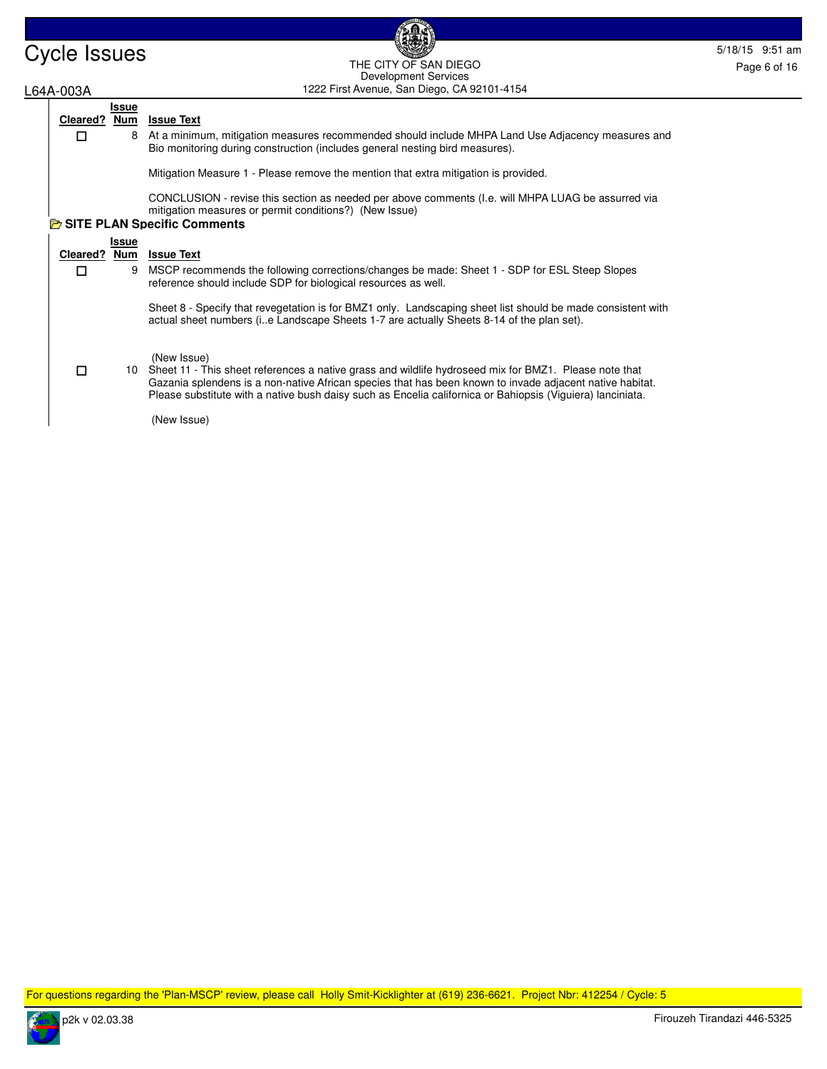

 $\Box$ 

### Cycle Issues 5/18/15 9:51 am and the City of San Diego Contract of the City of San Diego Contract of the City of San Diego Contract of the City of San Diego Contract of the City of San Diego Contract of the City of San Die 1222 First Avenue, San Diego, CA 92101-4154 THE CITY OF SAN DIEGO Development Services

# L64A-003A

### **Issue Cleared ? Num Issue Text**

8 At a minimum, mitigation measures recommended should include MHPA Land Use Adjacency measures and Bio monitoring during construction (includes general nesting bird measures).

Mitigation Measure 1 - Please remove the mention that extra mitigation is provided.

CONCLUSION - revise this section as needed per above comments (I.e. will MHPA LUAG be assurred via mitigation measures or permit conditions?) (New Issue)

# **B** SITE PLAN Specific Comments

|              | Issue |                                                                                                                                                                                                                                                                                                                                                   |
|--------------|-------|---------------------------------------------------------------------------------------------------------------------------------------------------------------------------------------------------------------------------------------------------------------------------------------------------------------------------------------------------|
| Cleared? Num |       | <b>Issue Text</b>                                                                                                                                                                                                                                                                                                                                 |
|              | 9     | MSCP recommends the following corrections/changes be made: Sheet 1 - SDP for ESL Steep Slopes<br>reference should include SDP for biological resources as well.                                                                                                                                                                                   |
|              |       | Sheet 8 - Specify that revegetation is for BMZ1 only. Landscaping sheet list should be made consistent with<br>actual sheet numbers (ie Landscape Sheets 1-7 are actually Sheets 8-14 of the plan set).                                                                                                                                           |
|              |       | (New Issue)<br>10 Sheet 11 - This sheet references a native grass and wildlife hydroseed mix for BMZ1. Please note that<br>Gazania splendens is a non-native African species that has been known to invade adjacent native habitat.<br>Please substitute with a native bush daisy such as Encelia californica or Bahiopsis (Viguiera) lanciniata. |
|              |       | (New Issue)                                                                                                                                                                                                                                                                                                                                       |

For questions regarding the 'Plan-MSCP' review, please call Holly Smit-Kicklighter at (619) 236-6621. Project Nbr: 412254 / Cycle: 5

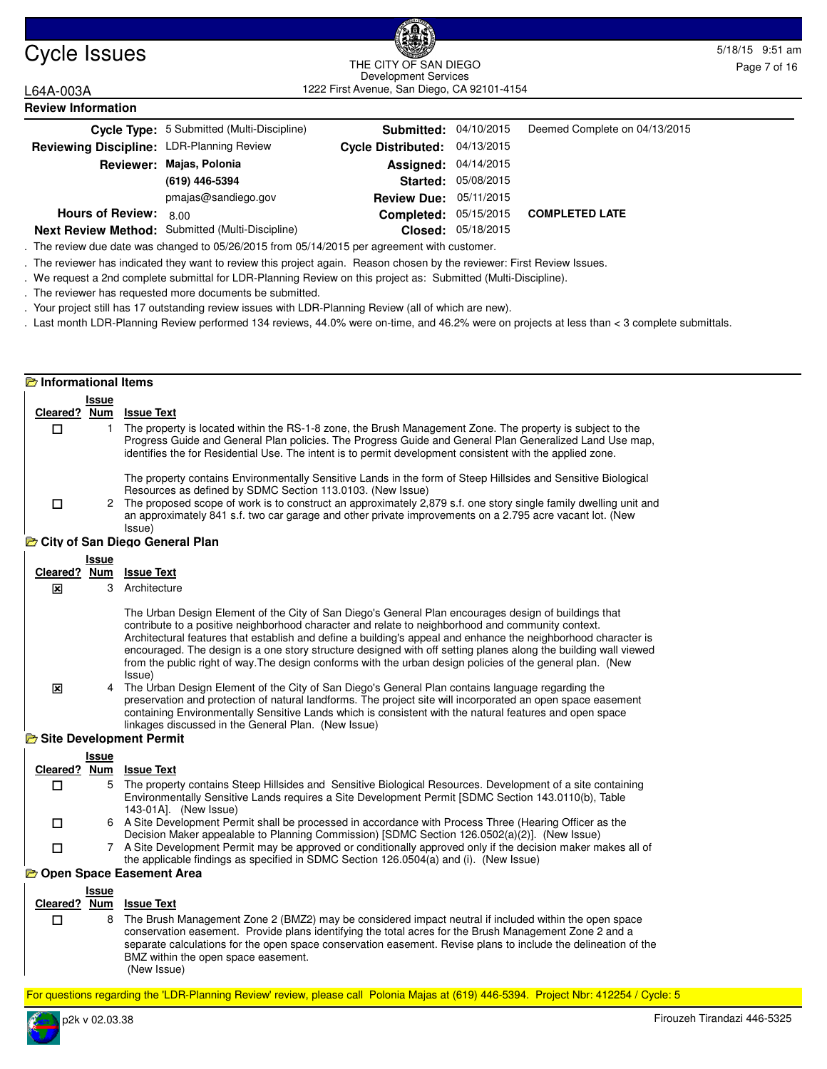

**Review Information**

#### Cycle Issues 5/18/15 9:51 am 1222 First Avenue, San Diego, CA 92101-4154 THE CITY OF SAN DIEGO Development Services

L64A-003A

|                                           | Cycle Type: 5 Submitted (Multi-Discipline)       | <b>Submitted: 04/10/2015</b>  |                            | Deemed Complete on 04/13/2015 |
|-------------------------------------------|--------------------------------------------------|-------------------------------|----------------------------|-------------------------------|
| Reviewing Discipline: LDR-Planning Review |                                                  | Cycle Distributed: 04/13/2015 |                            |                               |
|                                           | Reviewer: Majas, Polonia                         | <b>Assigned: 04/14/2015</b>   |                            |                               |
|                                           | (619) 446-5394                                   |                               | <b>Started: 05/08/2015</b> |                               |
|                                           | pmajas@sandiego.gov                              | <b>Review Due: 05/11/2015</b> |                            |                               |
| <b>Hours of Review:</b>                   | 8.00                                             | <b>Completed: 05/15/2015</b>  |                            | <b>COMPLETED LATE</b>         |
|                                           | Next Review Method: Submitted (Multi-Discipline) |                               | Closed: 05/18/2015         |                               |

. The review due date was changed to 05/26/2015 from 05/14/2015 per agreement with customer.

. The reviewer has indicated they want to review this project again. Reason chosen by the reviewer: First Review Issues.

. We request a 2nd complete submittal for LDR-Planning Review on this project as: Submitted (Multi-Discipline).

. The reviewer has requested more documents be submitted.

. Your project still has 17 outstanding review issues with LDR-Planning Review (all of which are new).

. Last month LDR-Planning Review performed 134 reviews, 44.0% were on-time, and 46.2% were on projects at less than < 3 complete submittals.

#### **Informational Items**

|              | Issue |                                                                                                                                                                                                                                                                                                                                   |
|--------------|-------|-----------------------------------------------------------------------------------------------------------------------------------------------------------------------------------------------------------------------------------------------------------------------------------------------------------------------------------|
| Cleared? Num |       | <b>Issue Text</b>                                                                                                                                                                                                                                                                                                                 |
|              |       | The property is located within the RS-1-8 zone, the Brush Management Zone. The property is subject to the<br>Progress Guide and General Plan policies. The Progress Guide and General Plan Generalized Land Use map.<br>identifies the for Residential Use. The intent is to permit development consistent with the applied zone. |
|              |       | The property contains Environmentally Sensitive Lands in the form of Steep Hillsides and Sensitive Biological<br>Resources as defined by SDMC Section 113.0103. (New Issue)                                                                                                                                                       |
|              |       |                                                                                                                                                                                                                                                                                                                                   |
|              |       | 2 The proposed scope of work is to construct an approximately 2,879 s.f. one story single family dwelling unit and<br>an approximately 841 s.f. two car garage and other private improvements on a 2.795 acre vacant lot. (New<br>Issue)                                                                                          |
|              |       | <b>E</b> City of San Diego General Plan                                                                                                                                                                                                                                                                                           |

#### **Issue Cleared ? Num Issue Text** 3 Architecture The Urban Design Element of the City of San Diego's General Plan encourages design of buildings that contribute to a positive neighborhood character and relate to neighborhood and community context. Architectural features that establish and define a building's appeal and enhance the neighborhood character is encouraged. The design is a one story structure designed with off setting planes along the building wall viewed from the public right of way.The design conforms with the urban design policies of the general plan. (New Issue)  $\mathbf{x}$ 4 The Urban Design Element of the City of San Diego's General Plan contains language regarding the preservation and protection of natural landforms. The project site will incorporated an open space easement containing Environmentally Sensitive Lands which is consistent with the natural features and open space linkages discussed in the General Plan. (New Issue) 冈 **B** Site Development Permit **Issue Cleared ? Num Issue Text** 5 The property contains Steep Hillsides and Sensitive Biological Resources. Development of a site containing Environmentally Sensitive Lands requires a Site Development Permit [SDMC Section 143.0110(b), Table 143-01A]. (New Issue)  $\Box$ 6 A Site Development Permit shall be processed in accordance with Process Three (Hearing Officer as the Decision Maker appealable to Planning Commission) [SDMC Section 126.0502(a)(2)]. (New Issue)  $\Box$ 7 A Site Development Permit may be approved or conditionally approved only if the decision maker makes all of the applicable findings as specified in SDMC Section 126.0504(a) and (i). (New Issue)  $\Box$ **Open Space Easement Area Issue Cleared ? Num Issue Text** 8 The Brush Management Zone 2 (BMZ2) may be considered impact neutral if included within the open space conservation easement. Provide plans identifying the total acres for the Brush Management Zone 2 and a separate calculations for the open space conservation easement. Revise plans to include the delineation of the  $\Box$

BMZ within the open space easement.

(New Issue)

For questions regarding the 'LDR-Planning Review' review, please call Polonia Majas at (619) 446-5394. Project Nbr: 412254 / Cycle: 5

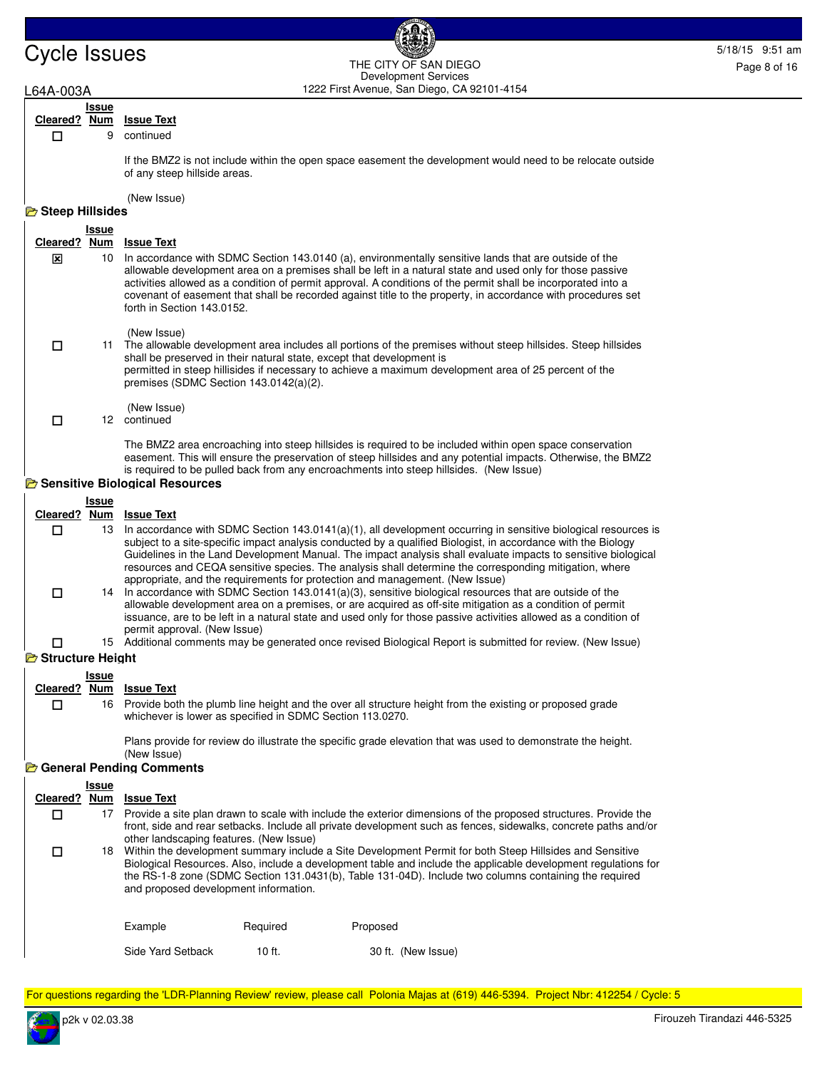### Cycle Issues 5/18/15 9:51 am 1222 First Avenue, San Diego, CA 92101-4154 THE CITY OF SAN DIEGO Development Services

## L64A-003A

 $\Box$ 

#### **Issue Cleared ? Num Issue Text**

```
9 continued
```
If the BMZ2 is not include within the open space easement the development would need to be relocate outside of any steep hillside areas.

(New Issue)

# **B** Steep Hillsides

| <b>L</b> JICED HIIISIUCS |            |                                                                                                                                                                                                                                                                                                                                                                                                                                                                                   |
|--------------------------|------------|-----------------------------------------------------------------------------------------------------------------------------------------------------------------------------------------------------------------------------------------------------------------------------------------------------------------------------------------------------------------------------------------------------------------------------------------------------------------------------------|
|                          | Issue      |                                                                                                                                                                                                                                                                                                                                                                                                                                                                                   |
| Cleared?                 | <b>Num</b> | <b>Issue Text</b>                                                                                                                                                                                                                                                                                                                                                                                                                                                                 |
| ⊠                        | 10         | In accordance with SDMC Section 143.0140 (a), environmentally sensitive lands that are outside of the<br>allowable development area on a premises shall be left in a natural state and used only for those passive<br>activities allowed as a condition of permit approval. A conditions of the permit shall be incorporated into a<br>covenant of easement that shall be recorded against title to the property, in accordance with procedures set<br>forth in Section 143.0152. |
| П                        | 11         | (New Issue)<br>The allowable development area includes all portions of the premises without steep hillsides. Steep hillsides<br>shall be preserved in their natural state, except that development is<br>permitted in steep hillisides if necessary to achieve a maximum development area of 25 percent of the<br>premises (SDMC Section $143.0142(a)(2)$ .                                                                                                                       |

(New Issue)

12 continued  $\Box$ 

> The BMZ2 area encroaching into steep hillsides is required to be included within open space conservation easement. This will ensure the preservation of steep hillsides and any potential impacts. Otherwise, the BMZ2 is required to be pulled back from any encroachments into steep hillsides. (New Issue)

## **B** Sensitive Biological Resources

|                  | Issue |                                                                                                                                                                                                                                                                                                                                                                                                                                                                                                                                               |
|------------------|-------|-----------------------------------------------------------------------------------------------------------------------------------------------------------------------------------------------------------------------------------------------------------------------------------------------------------------------------------------------------------------------------------------------------------------------------------------------------------------------------------------------------------------------------------------------|
| Cleared?         | Num   | <b>Issue Text</b>                                                                                                                                                                                                                                                                                                                                                                                                                                                                                                                             |
|                  | 13.   | In accordance with SDMC Section $143.0141(a)(1)$ , all development occurring in sensitive biological resources is<br>subject to a site-specific impact analysis conducted by a qualified Biologist, in accordance with the Biology<br>Guidelines in the Land Development Manual. The impact analysis shall evaluate impacts to sensitive biological<br>resources and CEQA sensitive species. The analysis shall determine the corresponding mitigation, where<br>appropriate, and the requirements for protection and management. (New Issue) |
|                  |       | 14 In accordance with SDMC Section 143.0141(a)(3), sensitive biological resources that are outside of the<br>allowable development area on a premises, or are acquired as off-site mitigation as a condition of permit<br>issuance, are to be left in a natural state and used only for those passive activities allowed as a condition of<br>permit approval. (New Issue)                                                                                                                                                                    |
|                  |       | 15 Additional comments may be generated once revised Biological Report is submitted for review. (New Issue)                                                                                                                                                                                                                                                                                                                                                                                                                                   |
| Structure Height |       |                                                                                                                                                                                                                                                                                                                                                                                                                                                                                                                                               |

# **Issue**

 $\Box$ 

| Cleared? Num Issue Text |  |
|-------------------------|--|

16 Provide both the plumb line height and the over all structure height from the existing or proposed grade whichever is lower as specified in SDMC Section 113.0270.

Plans provide for review do illustrate the specific grade elevation that was used to demonstrate the height. (New Issue)

## **General Pending Comments**

| Cleared? | Issue<br><b>Num</b> | <b>Issue Text</b>                       |          |                                                                                                                                                                                                                                                                                                                                        |
|----------|---------------------|-----------------------------------------|----------|----------------------------------------------------------------------------------------------------------------------------------------------------------------------------------------------------------------------------------------------------------------------------------------------------------------------------------------|
|          | 17                  | other landscaping features. (New Issue) |          | Provide a site plan drawn to scale with include the exterior dimensions of the proposed structures. Provide the<br>front, side and rear setbacks. Include all private development such as fences, sidewalks, concrete paths and/or                                                                                                     |
|          |                     | and proposed development information.   |          | 18 Within the development summary include a Site Development Permit for both Steep Hillsides and Sensitive<br>Biological Resources. Also, include a development table and include the applicable development regulations for<br>the RS-1-8 zone (SDMC Section 131.0431(b), Table 131-04D). Include two columns containing the required |
|          |                     | Example                                 | Required | Proposed                                                                                                                                                                                                                                                                                                                               |

Side Yard Setback 10 ft. 30 ft. (New Issue)

For questions regarding the 'LDR-Planning Review' review, please call Polonia Majas at (619) 446-5394. Project Nbr: 412254 / Cycle: 5

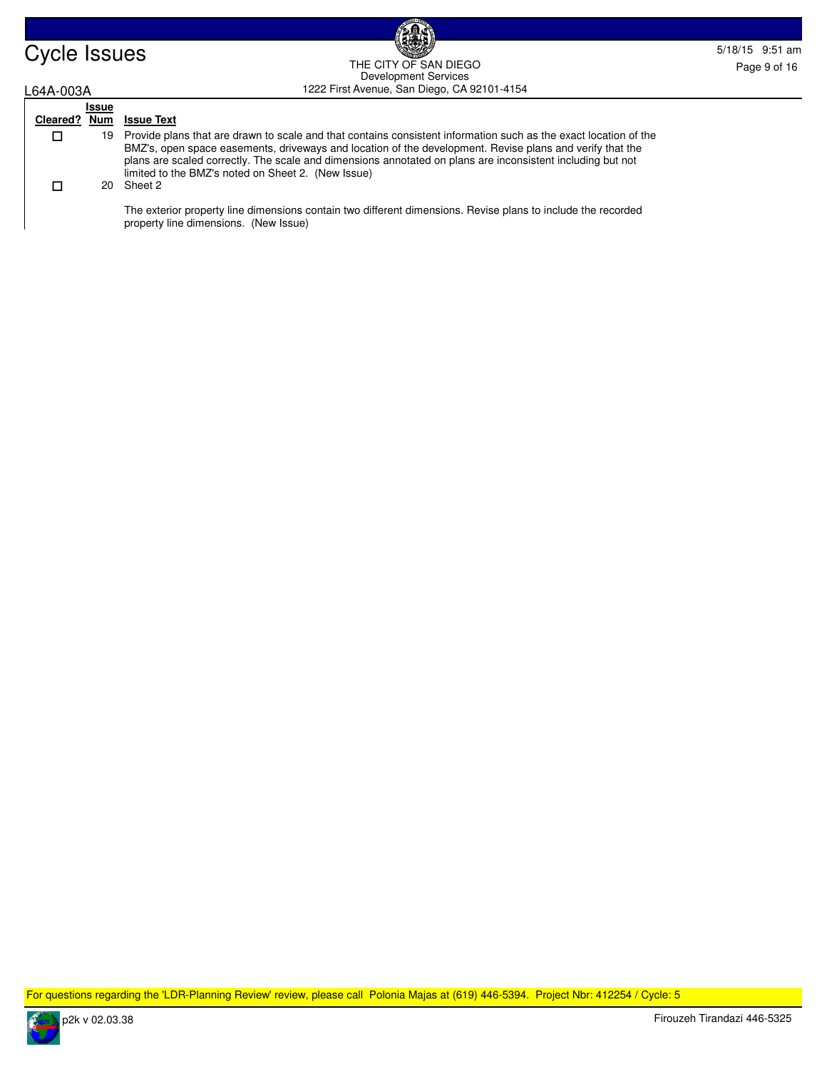

### Cycle Issues 5/18/15 9:51 am and the Cycle of the Cycle is the Superior of the Cycle is the Superior of the Cycle is a state of the Cycle is a state of the Cycle is a state of the Cycle is a state of the Cycle is a state o 1222 First Avenue, San Diego, CA 92101-4154 THE CITY OF SAN DIEGO Development Services

# L64A-003A

 $\Box$ 

## **Issue Cleared ? Num Issue Text**

19 Provide plans that are drawn to scale and that contains consistent information such as the exact location of the BMZ's, open space easements, driveways and location of the development. Revise plans and verify that the plans are scaled correctly. The scale and dimensions annotated on plans are inconsistent including but not limited to the BMZ's noted on Sheet 2. (New Issue)

#### 20 Sheet 2  $\Box$

The exterior property line dimensions contain two different dimensions. Revise plans to include the recorded property line dimensions. (New Issue)

For questions regarding the 'LDR-Planning Review' review, please call Polonia Majas at (619) 446-5394. Project Nbr: 412254 / Cycle: 5

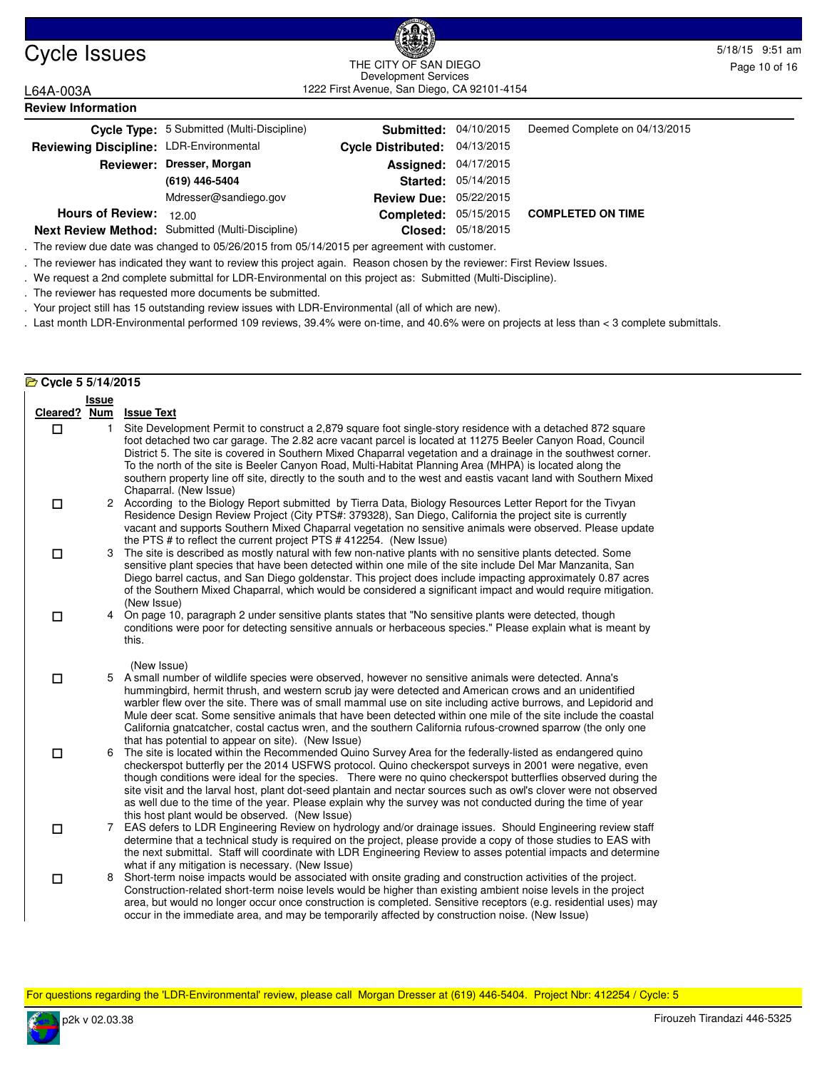

### Cycle Issues 5/18/15 9:51 am and the curve sample control of the curve of the curve of the curve sample control of the curve of the curve of the curve of the curve of the curve of the curve of the curve of the curve of the 1222 First Avenue, San Diego, CA 92101-4154 THE CITY OF SAN DIEGO Development Services

L64A-003A

| <b>Review Information</b>               |                                                  |                               |                     |                               |  |  |  |
|-----------------------------------------|--------------------------------------------------|-------------------------------|---------------------|-------------------------------|--|--|--|
|                                         | Cycle Type: 5 Submitted (Multi-Discipline)       | <b>Submitted: 04/10/2015</b>  |                     | Deemed Complete on 04/13/2015 |  |  |  |
| Reviewing Discipline: LDR-Environmental |                                                  | Cycle Distributed: 04/13/2015 |                     |                               |  |  |  |
|                                         | Reviewer: Dresser, Morgan                        | <b>Assigned: 04/17/2015</b>   |                     |                               |  |  |  |
|                                         | (619) 446-5404                                   |                               | Started: 05/14/2015 |                               |  |  |  |
|                                         | Mdresser@sandiego.gov                            | <b>Review Due: 05/22/2015</b> |                     |                               |  |  |  |
| <b>Hours of Review:</b>                 | 12.00                                            | Completed:                    | 05/15/2015          | <b>COMPLETED ON TIME</b>      |  |  |  |
|                                         | Next Review Method: Submitted (Multi-Discipline) |                               | Closed: 05/18/2015  |                               |  |  |  |

**Next Review Method:** Submitted (Multi-Discipline)

. The review due date was changed to 05/26/2015 from 05/14/2015 per agreement with customer.

. The reviewer has indicated they want to review this project again. Reason chosen by the reviewer: First Review Issues.

. We request a 2nd complete submittal for LDR-Environmental on this project as: Submitted (Multi-Discipline).

. The reviewer has requested more documents be submitted.

. Your project still has 15 outstanding review issues with LDR-Environmental (all of which are new).

. Last month LDR-Environmental performed 109 reviews, 39.4% were on-time, and 40.6% were on projects at less than < 3 complete submittals.

### **Cycle 5 5/14/2015**

|              | <b>Issue</b> |                                                                                                                                                                                                                                                                                                                                                                                                                                                                                                                                                                                                                                          |
|--------------|--------------|------------------------------------------------------------------------------------------------------------------------------------------------------------------------------------------------------------------------------------------------------------------------------------------------------------------------------------------------------------------------------------------------------------------------------------------------------------------------------------------------------------------------------------------------------------------------------------------------------------------------------------------|
| Cleared? Num |              | <b>Issue Text</b>                                                                                                                                                                                                                                                                                                                                                                                                                                                                                                                                                                                                                        |
| □            | 1            | Site Development Permit to construct a 2,879 square foot single-story residence with a detached 872 square<br>foot detached two car garage. The 2.82 acre vacant parcel is located at 11275 Beeler Canyon Road, Council<br>District 5. The site is covered in Southern Mixed Chaparral vegetation and a drainage in the southwest corner.<br>To the north of the site is Beeler Canyon Road, Multi-Habitat Planning Area (MHPA) is located along the<br>southern property line off site, directly to the south and to the west and eastis vacant land with Southern Mixed<br>Chaparral. (New Issue)                                      |
| □            |              | 2 According to the Biology Report submitted by Tierra Data, Biology Resources Letter Report for the Tivyan<br>Residence Design Review Project (City PTS#: 379328), San Diego, California the project site is currently<br>vacant and supports Southern Mixed Chaparral vegetation no sensitive animals were observed. Please update<br>the PTS # to reflect the current project PTS #412254. (New Issue)                                                                                                                                                                                                                                 |
| □            | 3            | The site is described as mostly natural with few non-native plants with no sensitive plants detected. Some<br>sensitive plant species that have been detected within one mile of the site include Del Mar Manzanita, San<br>Diego barrel cactus, and San Diego goldenstar. This project does include impacting approximately 0.87 acres<br>of the Southern Mixed Chaparral, which would be considered a significant impact and would require mitigation.<br>(New Issue)                                                                                                                                                                  |
| □            |              | 4 On page 10, paragraph 2 under sensitive plants states that "No sensitive plants were detected, though<br>conditions were poor for detecting sensitive annuals or herbaceous species." Please explain what is meant by<br>this.                                                                                                                                                                                                                                                                                                                                                                                                         |
| □            |              | (New Issue)<br>5 A small number of wildlife species were observed, however no sensitive animals were detected. Anna's<br>hummingbird, hermit thrush, and western scrub jay were detected and American crows and an unidentified<br>warbler flew over the site. There was of small mammal use on site including active burrows, and Lepidorid and<br>Mule deer scat. Some sensitive animals that have been detected within one mile of the site include the coastal<br>California gnatcatcher, costal cactus wren, and the southern California rufous-crowned sparrow (the only one<br>that has potential to appear on site). (New Issue) |
| $\Box$       | 6            | The site is located within the Recommended Quino Survey Area for the federally-listed as endangered quino<br>checkerspot butterfly per the 2014 USFWS protocol. Quino checkerspot surveys in 2001 were negative, even<br>though conditions were ideal for the species.  There were no quino checkerspot butterflies observed during the<br>site visit and the larval host, plant dot-seed plantain and nectar sources such as owl's clover were not observed<br>as well due to the time of the year. Please explain why the survey was not conducted during the time of year<br>this host plant would be observed. (New Issue)           |
| □            | 7            | EAS defers to LDR Engineering Review on hydrology and/or drainage issues. Should Engineering review staff<br>determine that a technical study is required on the project, please provide a copy of those studies to EAS with<br>the next submittal. Staff will coordinate with LDR Engineering Review to asses potential impacts and determine<br>what if any mitigation is necessary. (New Issue)                                                                                                                                                                                                                                       |
| □            | 8            | Short-term noise impacts would be associated with onsite grading and construction activities of the project.<br>Construction-related short-term noise levels would be higher than existing ambient noise levels in the project<br>area, but would no longer occur once construction is completed. Sensitive receptors (e.g. residential uses) may<br>occur in the immediate area, and may be temporarily affected by construction noise. (New Issue)                                                                                                                                                                                     |

For questions regarding the 'LDR-Environmental' review, please call Morgan Dresser at (619) 446-5404. Project Nbr: 412254 / Cycle: 5

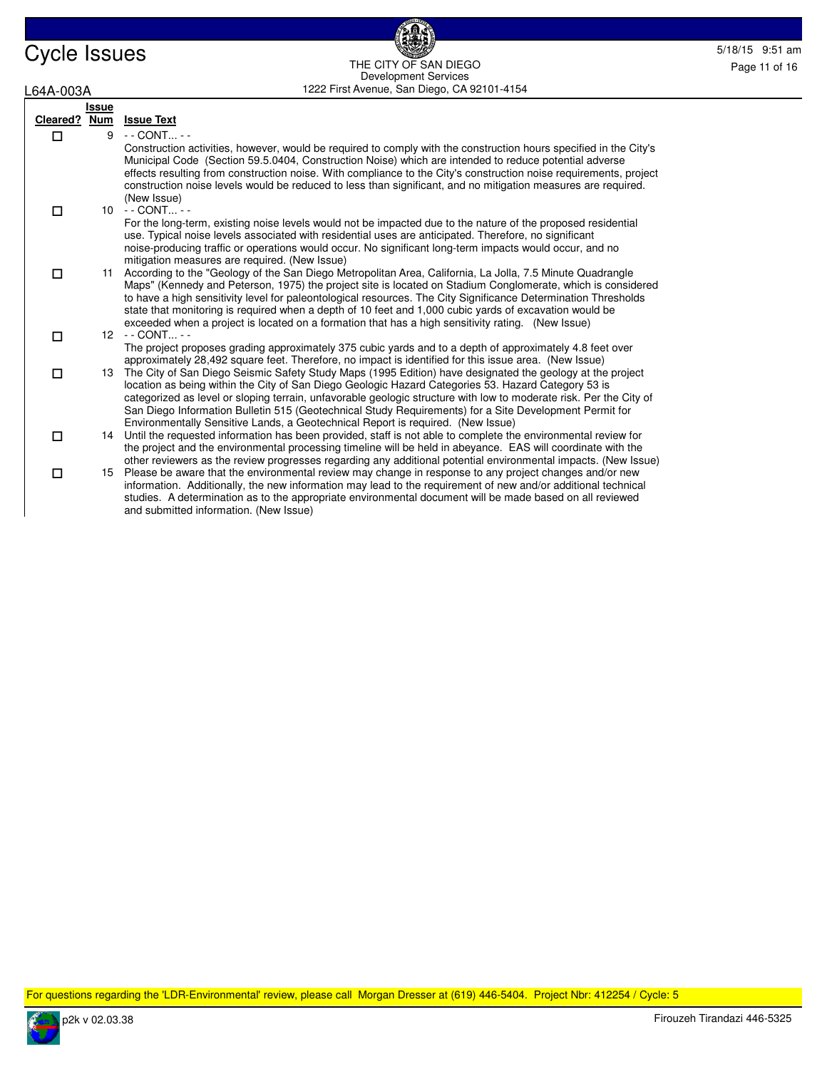| Cycle Issues | <b>BEAT</b>                                   | 5/18/15 9:51 am |
|--------------|-----------------------------------------------|-----------------|
|              | THE CITY OF SAN DIEGO<br>Development Services | Page 11 of 16   |
| L64A-003A    | 1222 First Avenue, San Diego, CA 92101-4154   |                 |

**BOC** 

| L64A-003A |              | 1222 First Avenue, San Diego, CA 92101-4154                                                                                                                                                                                                                                                                                                                                                                                                                                                                                                               |
|-----------|--------------|-----------------------------------------------------------------------------------------------------------------------------------------------------------------------------------------------------------------------------------------------------------------------------------------------------------------------------------------------------------------------------------------------------------------------------------------------------------------------------------------------------------------------------------------------------------|
|           | <b>Issue</b> |                                                                                                                                                                                                                                                                                                                                                                                                                                                                                                                                                           |
| Cleared?  | Num          | <b>Issue Text</b>                                                                                                                                                                                                                                                                                                                                                                                                                                                                                                                                         |
| □         | 9            | $-$ - CONT - -                                                                                                                                                                                                                                                                                                                                                                                                                                                                                                                                            |
|           |              | Construction activities, however, would be required to comply with the construction hours specified in the City's<br>Municipal Code (Section 59.5.0404, Construction Noise) which are intended to reduce potential adverse<br>effects resulting from construction noise. With compliance to the City's construction noise requirements, project<br>construction noise levels would be reduced to less than significant, and no mitigation measures are required.<br>(New Issue)                                                                           |
| □         |              | 10 - - CONT - -                                                                                                                                                                                                                                                                                                                                                                                                                                                                                                                                           |
|           |              | For the long-term, existing noise levels would not be impacted due to the nature of the proposed residential<br>use. Typical noise levels associated with residential uses are anticipated. Therefore, no significant<br>noise-producing traffic or operations would occur. No significant long-term impacts would occur, and no<br>mitigation measures are required. (New Issue)                                                                                                                                                                         |
| □         | 11           | According to the "Geology of the San Diego Metropolitan Area, California, La Jolla, 7.5 Minute Quadrangle<br>Maps" (Kennedy and Peterson, 1975) the project site is located on Stadium Conglomerate, which is considered<br>to have a high sensitivity level for paleontological resources. The City Significance Determination Thresholds<br>state that monitoring is required when a depth of 10 feet and 1,000 cubic yards of excavation would be<br>exceeded when a project is located on a formation that has a high sensitivity rating. (New Issue) |
| □         | 12           | $-$ CONT $-$<br>The project proposes grading approximately 375 cubic yards and to a depth of approximately 4.8 feet over<br>approximately 28,492 square feet. Therefore, no impact is identified for this issue area. (New Issue)                                                                                                                                                                                                                                                                                                                         |
| □         |              | 13 The City of San Diego Seismic Safety Study Maps (1995 Edition) have designated the geology at the project<br>location as being within the City of San Diego Geologic Hazard Categories 53. Hazard Category 53 is<br>categorized as level or sloping terrain, unfavorable geologic structure with low to moderate risk. Per the City of<br>San Diego Information Bulletin 515 (Geotechnical Study Requirements) for a Site Development Permit for<br>Environmentally Sensitive Lands, a Geotechnical Report is required. (New Issue)                    |
| □         | 14           | Until the requested information has been provided, staff is not able to complete the environmental review for<br>the project and the environmental processing timeline will be held in abeyance. EAS will coordinate with the<br>other reviewers as the review progresses regarding any additional potential environmental impacts. (New Issue)                                                                                                                                                                                                           |
| □         | 15           | Please be aware that the environmental review may change in response to any project changes and/or new<br>information. Additionally, the new information may lead to the requirement of new and/or additional technical<br>studies. A determination as to the appropriate environmental document will be made based on all reviewed<br>and submitted information. (New Issue)                                                                                                                                                                             |

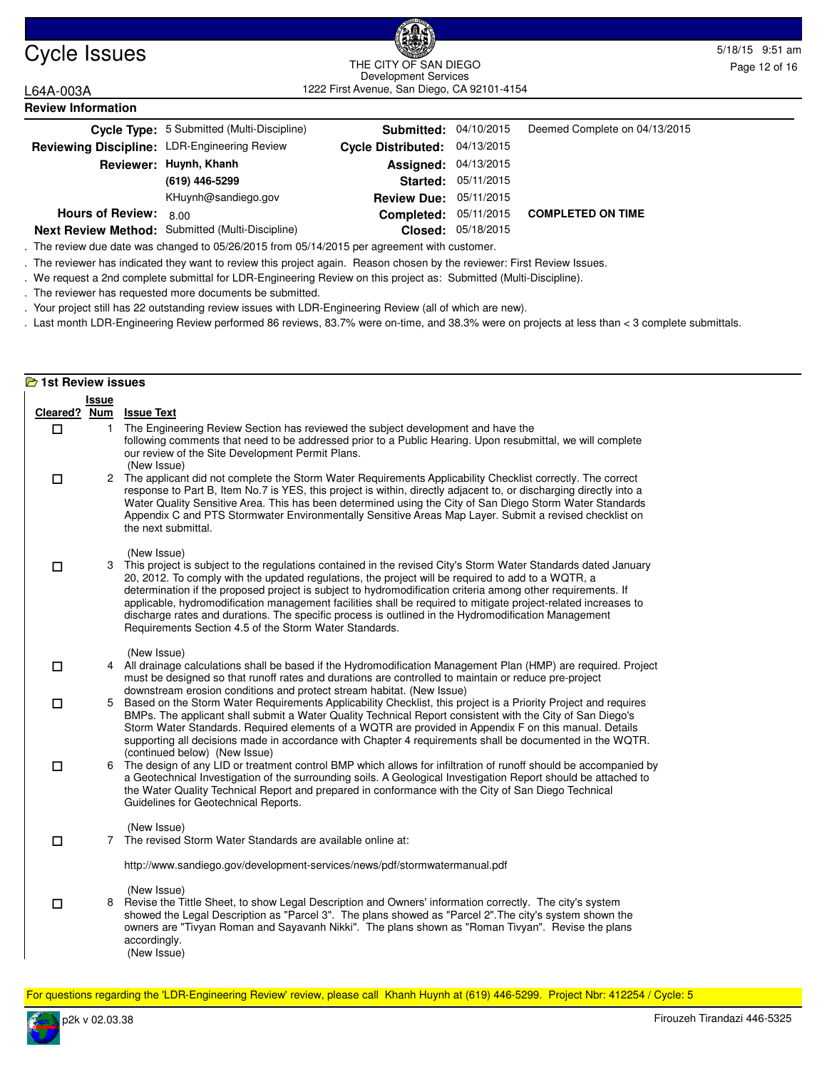

### Cycle Issues 5/18/15 9:51 am and the curve sample control of the curve of the curve of the curve sample control of the curve of the curve of the curve of the curve of the curve of the curve of the curve of the curve of the 1222 First Avenue, San Diego, CA 92101-4154 THE CITY OF SAN DIEGO Development Services

L64A-003A

| <b>Review Information</b>                    |                                                  |                           |                    |                               |  |  |  |
|----------------------------------------------|--------------------------------------------------|---------------------------|--------------------|-------------------------------|--|--|--|
|                                              | Cycle Type: 5 Submitted (Multi-Discipline)       | Submitted:                | 04/10/2015         | Deemed Complete on 04/13/2015 |  |  |  |
| Reviewing Discipline: LDR-Engineering Review |                                                  | <b>Cycle Distributed:</b> | 04/13/2015         |                               |  |  |  |
|                                              | Reviewer: Huynh, Khanh                           | Assigned:                 | 04/13/2015         |                               |  |  |  |
|                                              | (619) 446-5299                                   | Started:                  | 05/11/2015         |                               |  |  |  |
|                                              | KHuynh@sandiego.gov                              | <b>Review Due:</b>        | 05/11/2015         |                               |  |  |  |
| <b>Hours of Review:</b>                      | 8.00                                             | Completed:                | 05/11/2015         | <b>COMPLETED ON TIME</b>      |  |  |  |
|                                              | Next Review Method: Submitted (Multi-Discipline) |                           | Closed: 05/18/2015 |                               |  |  |  |

. The review due date was changed to 05/26/2015 from 05/14/2015 per agreement with customer.

. The reviewer has indicated they want to review this project again. Reason chosen by the reviewer: First Review Issues.

. We request a 2nd complete submittal for LDR-Engineering Review on this project as: Submitted (Multi-Discipline).

. The reviewer has requested more documents be submitted.

. Your project still has 22 outstanding review issues with LDR-Engineering Review (all of which are new).

. Last month LDR-Engineering Review performed 86 reviews, 83.7% were on-time, and 38.3% were on projects at less than < 3 complete submittals.

|        | <b>E</b> 1st Review issues |                                                                                                                                                                                                                                                                                                                                                                                                                                                                                                                                                                                                                                       |  |  |  |  |
|--------|----------------------------|---------------------------------------------------------------------------------------------------------------------------------------------------------------------------------------------------------------------------------------------------------------------------------------------------------------------------------------------------------------------------------------------------------------------------------------------------------------------------------------------------------------------------------------------------------------------------------------------------------------------------------------|--|--|--|--|
|        | <b>Issue</b>               |                                                                                                                                                                                                                                                                                                                                                                                                                                                                                                                                                                                                                                       |  |  |  |  |
|        |                            | Cleared? Num Issue Text                                                                                                                                                                                                                                                                                                                                                                                                                                                                                                                                                                                                               |  |  |  |  |
| $\Box$ | $\mathbf{1}$               | The Engineering Review Section has reviewed the subject development and have the<br>following comments that need to be addressed prior to a Public Hearing. Upon resubmittal, we will complete<br>our review of the Site Development Permit Plans.<br>(New Issue)                                                                                                                                                                                                                                                                                                                                                                     |  |  |  |  |
| $\Box$ |                            | 2 The applicant did not complete the Storm Water Requirements Applicability Checklist correctly. The correct<br>response to Part B, Item No.7 is YES, this project is within, directly adjacent to, or discharging directly into a<br>Water Quality Sensitive Area. This has been determined using the City of San Diego Storm Water Standards<br>Appendix C and PTS Stormwater Environmentally Sensitive Areas Map Layer. Submit a revised checklist on<br>the next submittal.                                                                                                                                                       |  |  |  |  |
| □      | 3                          | (New Issue)<br>This project is subject to the regulations contained in the revised City's Storm Water Standards dated January<br>20, 2012. To comply with the updated regulations, the project will be required to add to a WQTR, a<br>determination if the proposed project is subject to hydromodification criteria among other requirements. If<br>applicable, hydromodification management facilities shall be required to mitigate project-related increases to<br>discharge rates and durations. The specific process is outlined in the Hydromodification Management<br>Requirements Section 4.5 of the Storm Water Standards. |  |  |  |  |
| □      |                            | (New Issue)<br>4 All drainage calculations shall be based if the Hydromodification Management Plan (HMP) are required. Project<br>must be designed so that runoff rates and durations are controlled to maintain or reduce pre-project<br>downstream erosion conditions and protect stream habitat. (New Issue)                                                                                                                                                                                                                                                                                                                       |  |  |  |  |
| □      | 5                          | Based on the Storm Water Requirements Applicability Checklist, this project is a Priority Project and requires<br>BMPs. The applicant shall submit a Water Quality Technical Report consistent with the City of San Diego's<br>Storm Water Standards. Required elements of a WQTR are provided in Appendix F on this manual. Details<br>supporting all decisions made in accordance with Chapter 4 requirements shall be documented in the WQTR.                                                                                                                                                                                      |  |  |  |  |
| $\Box$ | 6                          | (continued below) (New Issue)<br>The design of any LID or treatment control BMP which allows for infiltration of runoff should be accompanied by<br>a Geotechnical Investigation of the surrounding soils. A Geological Investigation Report should be attached to<br>the Water Quality Technical Report and prepared in conformance with the City of San Diego Technical<br>Guidelines for Geotechnical Reports.                                                                                                                                                                                                                     |  |  |  |  |
| $\Box$ |                            | (New Issue)<br>7 The revised Storm Water Standards are available online at:                                                                                                                                                                                                                                                                                                                                                                                                                                                                                                                                                           |  |  |  |  |
|        |                            | http://www.sandiego.gov/development-services/news/pdf/stormwatermanual.pdf                                                                                                                                                                                                                                                                                                                                                                                                                                                                                                                                                            |  |  |  |  |
| □      | 8                          | (New Issue)<br>Revise the Tittle Sheet, to show Legal Description and Owners' information correctly. The city's system<br>showed the Legal Description as "Parcel 3". The plans showed as "Parcel 2". The city's system shown the<br>owners are "Tivyan Roman and Sayavanh Nikki". The plans shown as "Roman Tivyan". Revise the plans<br>accordingly.<br>(New Issue)                                                                                                                                                                                                                                                                 |  |  |  |  |

For questions regarding the 'LDR-Engineering Review' review, please call Khanh Huynh at (619) 446-5299. Project Nbr: 412254 / Cycle: 5

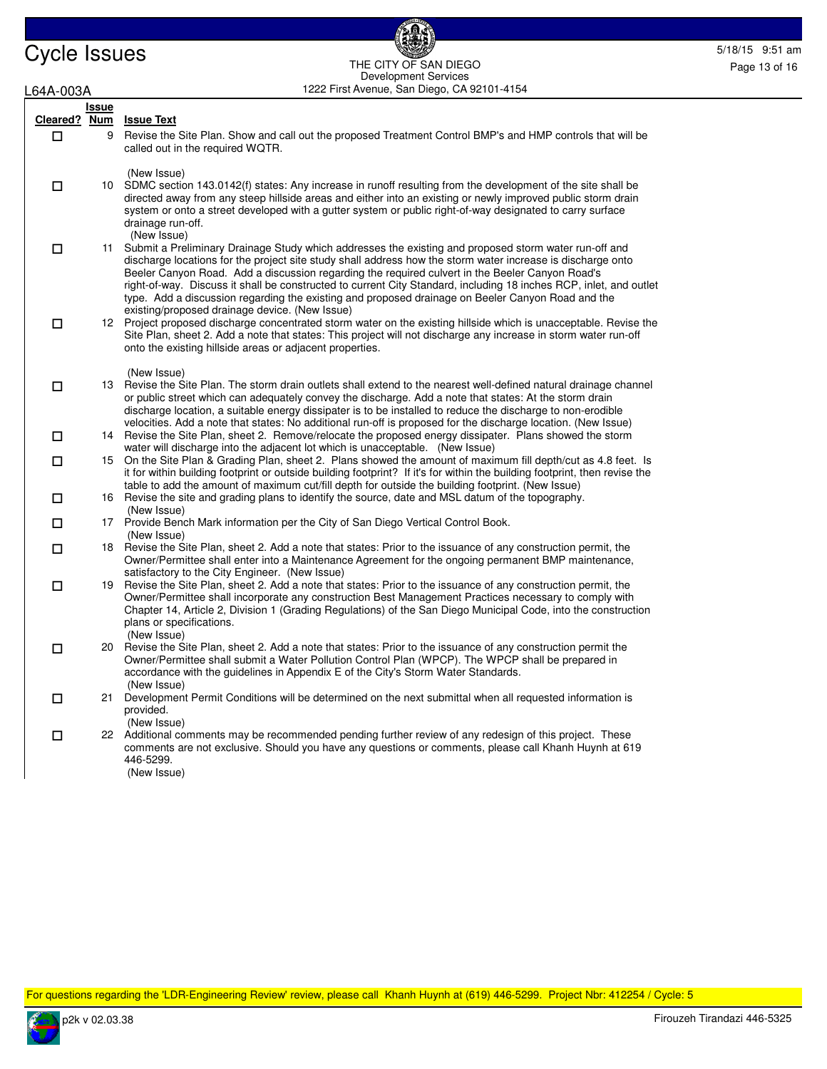Cycle Issues<br>
THE CITY OF SAN DIEGO THE CITY OF SAN DIEGO Development Services

| L64A-003A |       | Development Services<br>1222 First Avenue, San Diego, CA 92101-4154                                                                                                                                                                                                                                                                                                                                                                                                                                                                                   |
|-----------|-------|-------------------------------------------------------------------------------------------------------------------------------------------------------------------------------------------------------------------------------------------------------------------------------------------------------------------------------------------------------------------------------------------------------------------------------------------------------------------------------------------------------------------------------------------------------|
|           | Issue |                                                                                                                                                                                                                                                                                                                                                                                                                                                                                                                                                       |
| $\Box$    | 9     | Cleared? Num Issue Text<br>Revise the Site Plan. Show and call out the proposed Treatment Control BMP's and HMP controls that will be<br>called out in the required WQTR.                                                                                                                                                                                                                                                                                                                                                                             |
| □         |       | (New Issue)<br>10 SDMC section 143.0142(f) states: Any increase in runoff resulting from the development of the site shall be<br>directed away from any steep hillside areas and either into an existing or newly improved public storm drain<br>system or onto a street developed with a gutter system or public right-of-way designated to carry surface<br>drainage run-off.<br>(New Issue)                                                                                                                                                        |
| $\Box$    |       | 11 Submit a Preliminary Drainage Study which addresses the existing and proposed storm water run-off and<br>discharge locations for the project site study shall address how the storm water increase is discharge onto<br>Beeler Canyon Road. Add a discussion regarding the required culvert in the Beeler Canyon Road's<br>right-of-way. Discuss it shall be constructed to current City Standard, including 18 inches RCP, inlet, and outlet<br>type. Add a discussion regarding the existing and proposed drainage on Beeler Canyon Road and the |
| $\Box$    |       | existing/proposed drainage device. (New Issue)<br>12 Project proposed discharge concentrated storm water on the existing hillside which is unacceptable. Revise the<br>Site Plan, sheet 2. Add a note that states: This project will not discharge any increase in storm water run-off<br>onto the existing hillside areas or adjacent properties.                                                                                                                                                                                                    |
| $\Box$    |       | (New Issue)<br>13 Revise the Site Plan. The storm drain outlets shall extend to the nearest well-defined natural drainage channel<br>or public street which can adequately convey the discharge. Add a note that states: At the storm drain<br>discharge location, a suitable energy dissipater is to be installed to reduce the discharge to non-erodible                                                                                                                                                                                            |
| $\Box$    |       | velocities. Add a note that states: No additional run-off is proposed for the discharge location. (New Issue)<br>14 Revise the Site Plan, sheet 2. Remove/relocate the proposed energy dissipater. Plans showed the storm<br>water will discharge into the adjacent lot which is unacceptable. (New Issue)                                                                                                                                                                                                                                            |
| $\Box$    | 15    | On the Site Plan & Grading Plan, sheet 2. Plans showed the amount of maximum fill depth/cut as 4.8 feet. Is<br>it for within building footprint or outside building footprint? If it's for within the building footprint, then revise the<br>table to add the amount of maximum cut/fill depth for outside the building footprint. (New Issue)                                                                                                                                                                                                        |
| $\Box$    |       | 16 Revise the site and grading plans to identify the source, date and MSL datum of the topography.<br>(New Issue)                                                                                                                                                                                                                                                                                                                                                                                                                                     |
| $\Box$    |       | 17 Provide Bench Mark information per the City of San Diego Vertical Control Book.<br>(New Issue)                                                                                                                                                                                                                                                                                                                                                                                                                                                     |
| $\Box$    |       | 18 Revise the Site Plan, sheet 2. Add a note that states: Prior to the issuance of any construction permit, the<br>Owner/Permittee shall enter into a Maintenance Agreement for the ongoing permanent BMP maintenance,<br>satisfactory to the City Engineer. (New Issue)                                                                                                                                                                                                                                                                              |
| 口         |       | 19 Revise the Site Plan, sheet 2. Add a note that states: Prior to the issuance of any construction permit, the<br>Owner/Permittee shall incorporate any construction Best Management Practices necessary to comply with<br>Chapter 14, Article 2, Division 1 (Grading Regulations) of the San Diego Municipal Code, into the construction<br>plans or specifications.<br>(New Issue)                                                                                                                                                                 |
| 口         |       | 20 Revise the Site Plan, sheet 2. Add a note that states: Prior to the issuance of any construction permit the<br>Owner/Permittee shall submit a Water Pollution Control Plan (WPCP). The WPCP shall be prepared in<br>accordance with the guidelines in Appendix E of the City's Storm Water Standards.<br>(New Issue)                                                                                                                                                                                                                               |
| □         | 21    | Development Permit Conditions will be determined on the next submittal when all requested information is<br>provided.<br>(New Issue)                                                                                                                                                                                                                                                                                                                                                                                                                  |
| □         |       | 22 Additional comments may be recommended pending further review of any redesign of this project. These<br>comments are not exclusive. Should you have any questions or comments, please call Khanh Huynh at 619<br>446-5299.<br>(New Issue)                                                                                                                                                                                                                                                                                                          |
|           |       |                                                                                                                                                                                                                                                                                                                                                                                                                                                                                                                                                       |

For questions regarding the 'LDR-Engineering Review' review, please call Khanh Huynh at (619) 446-5299. Project Nbr: 412254 / Cycle: 5

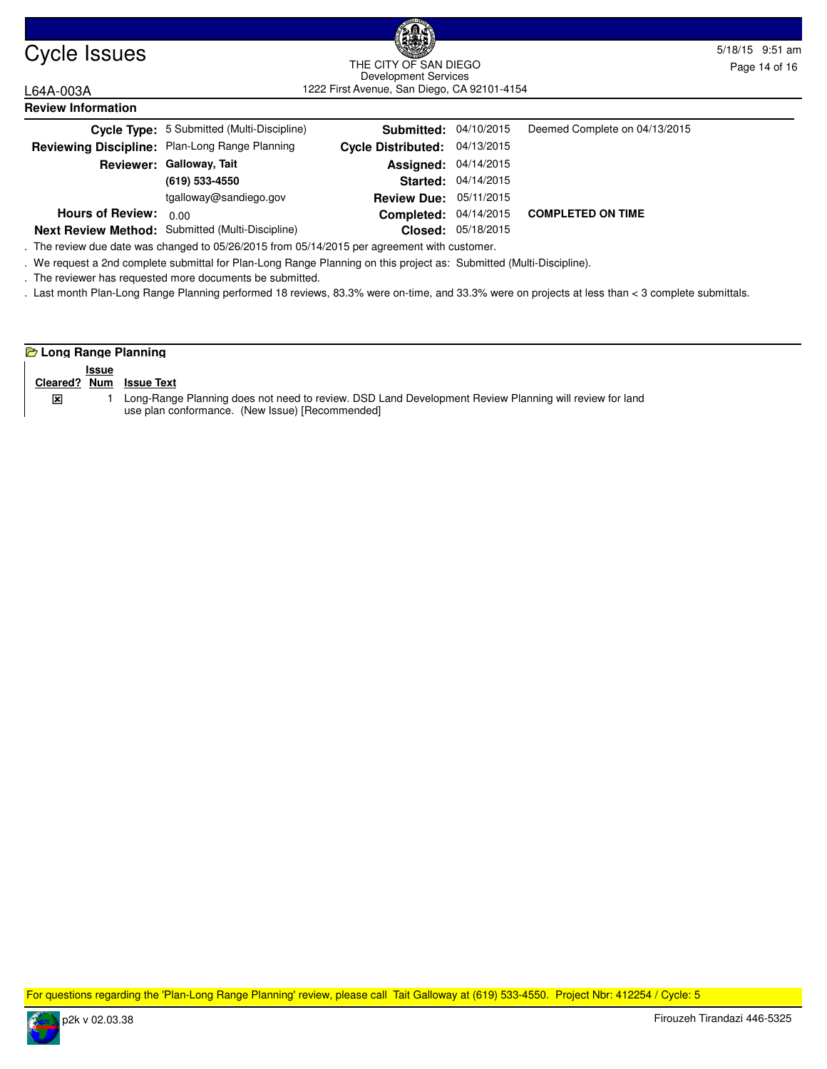

### Cycle Issues 5/18/15 9:51 am and the curvice sample of the contract of the curvice sample of the curvice sample of the curvice sample of the curvice sample of the curvice sample of the curvice sample of the curvice sample 1222 First Avenue, San Diego, CA 92101-4154 THE CITY OF SAN DIEGO Development Services

L64A-003A

| <b>Review Information</b> |                                                  |                               |                     |                                         |  |  |  |
|---------------------------|--------------------------------------------------|-------------------------------|---------------------|-----------------------------------------|--|--|--|
|                           | Cycle Type: 5 Submitted (Multi-Discipline)       | <b>Submitted: 04/10/2015</b>  |                     | Deemed Complete on 04/13/2015           |  |  |  |
|                           | Reviewing Discipline: Plan-Long Range Planning   | Cycle Distributed: 04/13/2015 |                     |                                         |  |  |  |
|                           | Reviewer: Galloway, Tait                         | <b>Assigned: 04/14/2015</b>   |                     |                                         |  |  |  |
|                           | (619) 533-4550                                   |                               | Started: 04/14/2015 |                                         |  |  |  |
|                           | tgalloway@sandiego.gov                           | <b>Review Due: 05/11/2015</b> |                     |                                         |  |  |  |
| <b>Hours of Review:</b>   | 0.00                                             |                               |                     | Completed: 04/14/2015 COMPLETED ON TIME |  |  |  |
|                           | Next Review Method: Submitted (Multi-Discipline) |                               | Closed: 05/18/2015  |                                         |  |  |  |

. The review due date was changed to 05/26/2015 from 05/14/2015 per agreement with customer.

. We request a 2nd complete submittal for Plan-Long Range Planning on this project as: Submitted (Multi-Discipline).

. The reviewer has requested more documents be submitted.

. Last month Plan-Long Range Planning performed 18 reviews, 83.3% were on-time, and 33.3% were on projects at less than < 3 complete submittals.

### **Long Range Planning**

|   | <b>Issue</b> |                                                                                                        |
|---|--------------|--------------------------------------------------------------------------------------------------------|
|   |              | Cleared? Num Issue Text                                                                                |
| ⊠ |              | Long-Range Planning does not need to review. DSD Land Development Review Planning will review for land |
|   |              | use plan conformance. (New Issue) [Recommended]                                                        |

For questions regarding the 'Plan-Long Range Planning' review, please call Tait Galloway at (619) 533-4550. Project Nbr: 412254 / Cycle: 5

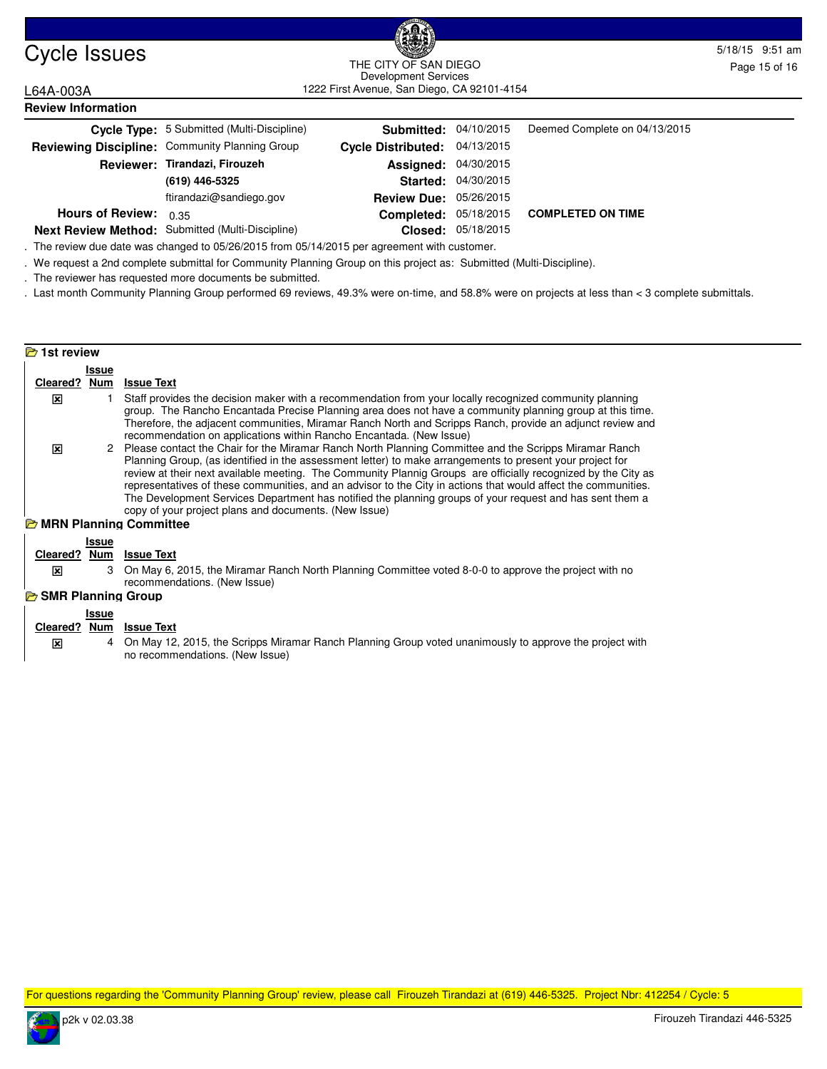

### Cycle Issues 5/18/15 9:51 am and the curve sample control of the curve of the curve of sample control of the curve of sample control of the curve of sample control of the curve of sample control of the curve of sample cont 1222 First Avenue, San Diego, CA 92101-4154 THE CITY OF SAN DIEGO Development Services

L64A-003A

| <b>Review Information</b> |                                                  |                               |                     |                               |  |  |  |
|---------------------------|--------------------------------------------------|-------------------------------|---------------------|-------------------------------|--|--|--|
|                           | Cycle Type: 5 Submitted (Multi-Discipline)       | <b>Submitted: 04/10/2015</b>  |                     | Deemed Complete on 04/13/2015 |  |  |  |
|                           | Reviewing Discipline: Community Planning Group   | Cycle Distributed: 04/13/2015 |                     |                               |  |  |  |
|                           | Reviewer: Tirandazi, Firouzeh                    | <b>Assigned: 04/30/2015</b>   |                     |                               |  |  |  |
|                           | (619) 446-5325                                   |                               | Started: 04/30/2015 |                               |  |  |  |
|                           | ftirandazi@sandiego.gov                          | <b>Review Due:</b>            | 05/26/2015          |                               |  |  |  |
| <b>Hours of Review:</b>   | 0.35                                             | Completed:                    | 05/18/2015          | <b>COMPLETED ON TIME</b>      |  |  |  |
|                           | Next Review Method: Submitted (Multi-Discipline) | Closed:                       | 05/18/2015          |                               |  |  |  |

. The review due date was changed to 05/26/2015 from 05/14/2015 per agreement with customer.

. We request a 2nd complete submittal for Community Planning Group on this project as: Submitted (Multi-Discipline).

. The reviewer has requested more documents be submitted.

. Last month Community Planning Group performed 69 reviews, 49.3% were on-time, and 58.8% were on projects at less than < 3 complete submittals.

| <b>B</b> 1st review         |                     |                                                                                                                                                                                                                                                                                                                                                                                                                                                                                                                                                                                                                                                                 |
|-----------------------------|---------------------|-----------------------------------------------------------------------------------------------------------------------------------------------------------------------------------------------------------------------------------------------------------------------------------------------------------------------------------------------------------------------------------------------------------------------------------------------------------------------------------------------------------------------------------------------------------------------------------------------------------------------------------------------------------------|
|                             | Issue               |                                                                                                                                                                                                                                                                                                                                                                                                                                                                                                                                                                                                                                                                 |
| Cleared? Num                |                     | <b>Issue Text</b>                                                                                                                                                                                                                                                                                                                                                                                                                                                                                                                                                                                                                                               |
| x                           |                     | Staff provides the decision maker with a recommendation from your locally recognized community planning<br>group. The Rancho Encantada Precise Planning area does not have a community planning group at this time.<br>Therefore, the adjacent communities, Miramar Ranch North and Scripps Ranch, provide an adjunct review and<br>recommendation on applications within Rancho Encantada. (New Issue)                                                                                                                                                                                                                                                         |
| 区                           |                     | 2 Please contact the Chair for the Miramar Ranch North Planning Committee and the Scripps Miramar Ranch<br>Planning Group, (as identified in the assessment letter) to make arrangements to present your project for<br>review at their next available meeting. The Community Plannig Groups are officially recognized by the City as<br>representatives of these communities, and an advisor to the City in actions that would affect the communities.<br>The Development Services Department has notified the planning groups of your request and has sent them a<br>copy of your project plans and documents. (New Issue)<br><b>E</b> MRN Planning Committee |
|                             |                     |                                                                                                                                                                                                                                                                                                                                                                                                                                                                                                                                                                                                                                                                 |
| Cleared? Num                | <b>Issue</b>        | <b>Issue Text</b>                                                                                                                                                                                                                                                                                                                                                                                                                                                                                                                                                                                                                                               |
| 図                           | 3                   | On May 6, 2015, the Miramar Ranch North Planning Committee voted 8-0-0 to approve the project with no<br>recommendations. (New Issue)                                                                                                                                                                                                                                                                                                                                                                                                                                                                                                                           |
| <b>B</b> SMR Planning Group |                     |                                                                                                                                                                                                                                                                                                                                                                                                                                                                                                                                                                                                                                                                 |
| Cleared?                    | <b>Issue</b><br>Num | <b>Issue Text</b>                                                                                                                                                                                                                                                                                                                                                                                                                                                                                                                                                                                                                                               |
| x                           | 4                   | On May 12, 2015, the Scripps Miramar Ranch Planning Group voted unanimously to approve the project with                                                                                                                                                                                                                                                                                                                                                                                                                                                                                                                                                         |

no recommendations. (New Issue)

For questions regarding the 'Community Planning Group' review, please call Firouzeh Tirandazi at (619) 446-5325. Project Nbr: 412254 / Cycle: 5